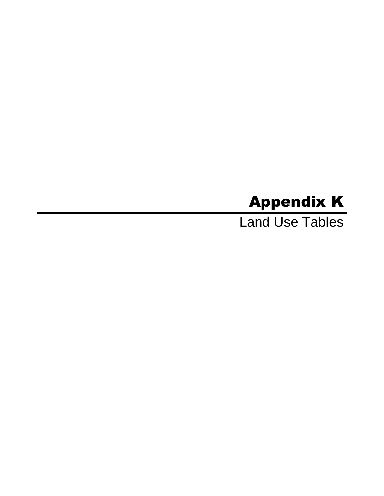# Appendix K

Land Use Tables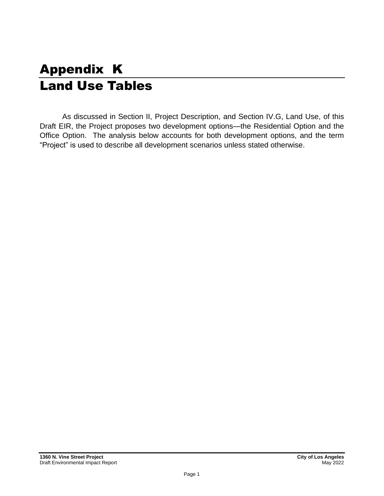# Appendix K Land Use Tables

As discussed in Section II, Project Description, and Section IV.G, Land Use, of this Draft EIR, the Project proposes two development options—the Residential Option and the Office Option. The analysis below accounts for both development options, and the term "Project" is used to describe all development scenarios unless stated otherwise.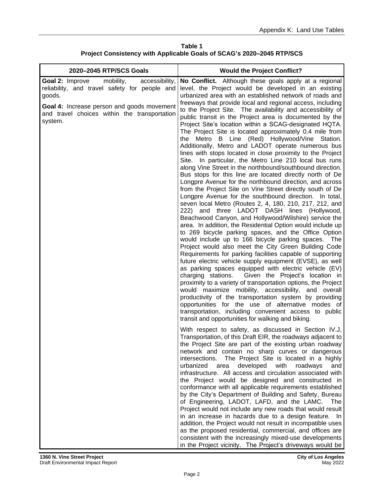**Table 1 Project Consistency with Applicable Goals of SCAG's 2020–2045 RTP/SCS**

| 2020-2045 RTP/SCS Goals                                                                                                                                                                                            | <b>Would the Project Conflict?</b>                                                                                                                                                                                                                                                                                                                                                                                                                                                                                                                                                                                                                                                                                                                                                                                                                                                                                                                                                                                                                                                                                                                                                                                                                                                                                                                                                                                                                                                                                                                                                                                                                                                                                                                                                                                                                                                                                                                                                                                                            |
|--------------------------------------------------------------------------------------------------------------------------------------------------------------------------------------------------------------------|-----------------------------------------------------------------------------------------------------------------------------------------------------------------------------------------------------------------------------------------------------------------------------------------------------------------------------------------------------------------------------------------------------------------------------------------------------------------------------------------------------------------------------------------------------------------------------------------------------------------------------------------------------------------------------------------------------------------------------------------------------------------------------------------------------------------------------------------------------------------------------------------------------------------------------------------------------------------------------------------------------------------------------------------------------------------------------------------------------------------------------------------------------------------------------------------------------------------------------------------------------------------------------------------------------------------------------------------------------------------------------------------------------------------------------------------------------------------------------------------------------------------------------------------------------------------------------------------------------------------------------------------------------------------------------------------------------------------------------------------------------------------------------------------------------------------------------------------------------------------------------------------------------------------------------------------------------------------------------------------------------------------------------------------------|
| Goal 2: Improve<br>mobility,<br>accessibility,<br>reliability, and travel safety for people and<br>goods.<br>Goal 4: Increase person and goods movement<br>and travel choices within the transportation<br>system. | No Conflict. Although these goals apply at a regional<br>level, the Project would be developed in an existing<br>urbanized area with an established network of roads and<br>freeways that provide local and regional access, including<br>to the Project Site. The availability and accessibility of<br>public transit in the Project area is documented by the<br>Project Site's location within a SCAG-designated HQTA.<br>The Project Site is located approximately 0.4 mile from<br>Metro B Line (Red) Hollywood/Vine Station.<br>the<br>Additionally, Metro and LADOT operate numerous bus<br>lines with stops located in close proximity to the Project<br>In particular, the Metro Line 210 local bus runs<br>Site.<br>along Vine Street in the northbound/southbound direction.<br>Bus stops for this line are located directly north of De<br>Longpre Avenue for the northbound direction, and across<br>from the Project Site on Vine Street directly south of De<br>Longpre Avenue for the southbound direction. In total,<br>seven local Metro (Routes 2, 4, 180, 210, 217, 212, and<br>222) and three LADOT DASH lines (Hollywood,<br>Beachwood Canyon, and Hollywood/Wilshire) service the<br>area. In addition, the Residential Option would include up<br>to 269 bicycle parking spaces, and the Office Option<br>would include up to 166 bicycle parking spaces. The<br>Project would also meet the City Green Building Code<br>Requirements for parking facilities capable of supporting<br>future electric vehicle supply equipment (EVSE), as well<br>as parking spaces equipped with electric vehicle (EV)<br>charging stations.<br>Given the Project's location in<br>proximity to a variety of transportation options, the Project<br>would maximize mobility, accessibility, and overall<br>productivity of the transportation system by providing<br>opportunities for the use of alternative modes of<br>transportation, including convenient access to public<br>transit and opportunities for walking and biking. |
|                                                                                                                                                                                                                    | With respect to safety, as discussed in Section IV.J,<br>Transportation, of this Draft EIR, the roadways adjacent to<br>the Project Site are part of the existing urban roadway<br>network and contain no sharp curves or dangerous<br>The Project Site is located in a highly<br>intersections.<br>urbanized<br>developed<br>with<br>area<br>roadways<br>and<br>infrastructure. All access and circulation associated with<br>the Project would be designed and constructed in<br>conformance with all applicable requirements established<br>by the City's Department of Building and Safety, Bureau<br>of Engineering, LADOT, LAFD, and the LAMC.<br>The<br>Project would not include any new roads that would result<br>in an increase in hazards due to a design feature. In<br>addition, the Project would not result in incompatible uses<br>as the proposed residential, commercial, and offices are<br>consistent with the increasingly mixed-use developments<br>in the Project vicinity. The Project's driveways would be                                                                                                                                                                                                                                                                                                                                                                                                                                                                                                                                                                                                                                                                                                                                                                                                                                                                                                                                                                                                          |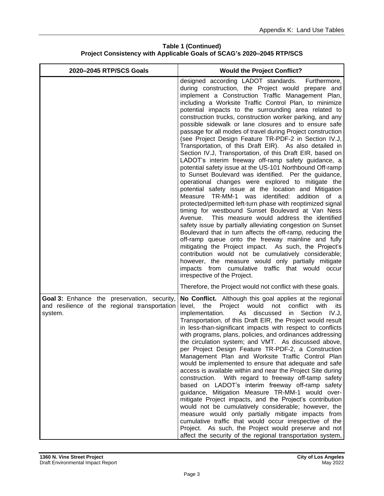#### **Table 1 (Continued) Project Consistency with Applicable Goals of SCAG's 2020–2045 RTP/SCS**

| 2020-2045 RTP/SCS Goals                                                                                        | <b>Would the Project Conflict?</b>                                                                                                                                                                                                                                                                                                                                                                                                                                                                                                                                                                                                                                                                                                                                                                                                                                                                                                                                                                                                                                                                                                                                                                                                                                                                                                                                                                                                                                                                                                                                                                                              |
|----------------------------------------------------------------------------------------------------------------|---------------------------------------------------------------------------------------------------------------------------------------------------------------------------------------------------------------------------------------------------------------------------------------------------------------------------------------------------------------------------------------------------------------------------------------------------------------------------------------------------------------------------------------------------------------------------------------------------------------------------------------------------------------------------------------------------------------------------------------------------------------------------------------------------------------------------------------------------------------------------------------------------------------------------------------------------------------------------------------------------------------------------------------------------------------------------------------------------------------------------------------------------------------------------------------------------------------------------------------------------------------------------------------------------------------------------------------------------------------------------------------------------------------------------------------------------------------------------------------------------------------------------------------------------------------------------------------------------------------------------------|
|                                                                                                                | designed according LADOT standards.<br>Furthermore,<br>during construction, the Project would prepare and<br>implement a Construction Traffic Management Plan,<br>including a Worksite Traffic Control Plan, to minimize<br>potential impacts to the surrounding area related to<br>construction trucks, construction worker parking, and any<br>possible sidewalk or lane closures and to ensure safe<br>passage for all modes of travel during Project construction<br>(see Project Design Feature TR-PDF-2 in Section IV.J,<br>Transportation, of this Draft EIR). As also detailed in<br>Section IV.J, Transportation, of this Draft EIR, based on<br>LADOT's interim freeway off-ramp safety guidance, a<br>potential safety issue at the US-101 Northbound Off-ramp<br>to Sunset Boulevard was identified. Per the guidance,<br>operational changes were explored to mitigate the<br>potential safety issue at the location and Mitigation<br>Measure TR-MM-1 was<br>identified:<br>addition of a<br>protected/permitted left-turn phase with reoptimized signal<br>timing for westbound Sunset Boulevard at Van Ness<br>This measure would address the identified<br>Avenue.<br>safety issue by partially alleviating congestion on Sunset<br>Boulevard that in turn affects the off-ramp, reducing the<br>off-ramp queue onto the freeway mainline and fully<br>mitigating the Project impact. As such, the Project's<br>contribution would not be cumulatively considerable;<br>however, the measure would only partially mitigate<br>impacts from cumulative traffic that would occur<br>irrespective of the Project. |
|                                                                                                                | Therefore, the Project would not conflict with these goals.                                                                                                                                                                                                                                                                                                                                                                                                                                                                                                                                                                                                                                                                                                                                                                                                                                                                                                                                                                                                                                                                                                                                                                                                                                                                                                                                                                                                                                                                                                                                                                     |
| <b>Goal 3:</b> Enhance the preservation, security,<br>and resilience of the regional transportation<br>system. | No Conflict. Although this goal applies at the regional<br>level, the Project would<br>not<br>conflict with<br>its<br>implementation.<br>As discussed<br>in<br>Section<br>IV.J,<br>Transportation, of this Draft EIR, the Project would result<br>in less-than-significant impacts with respect to conflicts<br>with programs, plans, policies, and ordinances addressing<br>the circulation system; and VMT. As discussed above,<br>per Project Design Feature TR-PDF-2, a Construction<br>Management Plan and Worksite Traffic Control Plan<br>would be implemented to ensure that adequate and safe<br>access is available within and near the Project Site during<br>construction. With regard to freeway off-tamp safety<br>based on LADOT's interim freeway off-ramp safety<br>guidance, Mitigation Measure TR-MM-1 would over-<br>mitigate Project impacts, and the Project's contribution<br>would not be cumulatively considerable; however, the<br>measure would only partially mitigate impacts from<br>cumulative traffic that would occur irrespective of the<br>Project. As such, the Project would preserve and not<br>affect the security of the regional transportation system,                                                                                                                                                                                                                                                                                                                                                                                                                                |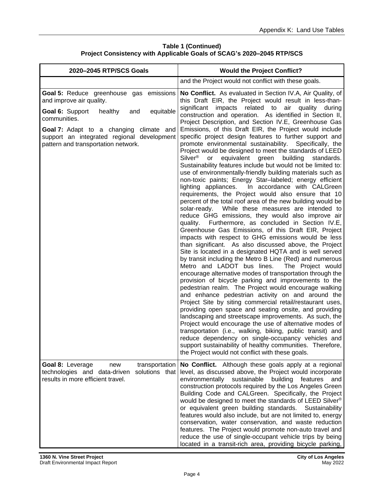#### **Table 1 (Continued) Project Consistency with Applicable Goals of SCAG's 2020–2045 RTP/SCS**

| 2020-2045 RTP/SCS Goals                                                                                                                            | <b>Would the Project Conflict?</b>                                                                                                                                                                                                                                                                                                                                                                                                                                                                                                                                                                                                                                                                                                                                                                                                                                                                                                                                                                                                                                                                                                                                                                                                                                                                                                                                                                                                                                                                                                                                                                                                                                                                                                                                                                                                                                                                                                      |
|----------------------------------------------------------------------------------------------------------------------------------------------------|-----------------------------------------------------------------------------------------------------------------------------------------------------------------------------------------------------------------------------------------------------------------------------------------------------------------------------------------------------------------------------------------------------------------------------------------------------------------------------------------------------------------------------------------------------------------------------------------------------------------------------------------------------------------------------------------------------------------------------------------------------------------------------------------------------------------------------------------------------------------------------------------------------------------------------------------------------------------------------------------------------------------------------------------------------------------------------------------------------------------------------------------------------------------------------------------------------------------------------------------------------------------------------------------------------------------------------------------------------------------------------------------------------------------------------------------------------------------------------------------------------------------------------------------------------------------------------------------------------------------------------------------------------------------------------------------------------------------------------------------------------------------------------------------------------------------------------------------------------------------------------------------------------------------------------------------|
|                                                                                                                                                    | and the Project would not conflict with these goals.                                                                                                                                                                                                                                                                                                                                                                                                                                                                                                                                                                                                                                                                                                                                                                                                                                                                                                                                                                                                                                                                                                                                                                                                                                                                                                                                                                                                                                                                                                                                                                                                                                                                                                                                                                                                                                                                                    |
| <b>Goal 5: Reduce greenhouse</b><br>emissions<br>gas<br>and improve air quality.<br>equitable<br>Goal 6: Support<br>healthy<br>and<br>communities. | No Conflict. As evaluated in Section IV.A, Air Quality, of<br>this Draft EIR, the Project would result in less-than-<br>significant impacts<br>related to air quality<br>during<br>construction and operation. As identified in Section II,<br>Project Description, and Section IV.E, Greenhouse Gas                                                                                                                                                                                                                                                                                                                                                                                                                                                                                                                                                                                                                                                                                                                                                                                                                                                                                                                                                                                                                                                                                                                                                                                                                                                                                                                                                                                                                                                                                                                                                                                                                                    |
| Goal 7: Adapt to a changing climate and<br>support an integrated regional development<br>pattern and transportation network.                       | Emissions, of this Draft EIR, the Project would include<br>specific project design features to further support and<br>promote environmental sustainability. Specifically, the<br>Project would be designed to meet the standards of LEED<br>Silver <sup>®</sup><br>building<br>or<br>equivalent<br>green<br>standards.<br>Sustainability features include but would not be limited to:<br>use of environmentally-friendly building materials such as<br>non-toxic paints; Energy Star-labeled; energy efficient<br>lighting appliances.<br>In accordance with CALGreen<br>requirements, the Project would also ensure that 10<br>percent of the total roof area of the new building would be<br>While these measures are intended to<br>solar-ready.<br>reduce GHG emissions, they would also improve air<br>quality. Furthermore, as concluded in Section IV.E,<br>Greenhouse Gas Emissions, of this Draft EIR, Project<br>impacts with respect to GHG emissions would be less<br>than significant. As also discussed above, the Project<br>Site is located in a designated HQTA and is well served<br>by transit including the Metro B Line (Red) and numerous<br>Metro and LADOT bus lines.<br>The Project would<br>encourage alternative modes of transportation through the<br>provision of bicycle parking and improvements to the<br>pedestrian realm. The Project would encourage walking<br>and enhance pedestrian activity on and around the<br>Project Site by siting commercial retail/restaurant uses,<br>providing open space and seating onsite, and providing<br>landscaping and streetscape improvements. As such, the<br>Project would encourage the use of alternative modes of<br>transportation (i.e., walking, biking, public transit) and<br>reduce dependency on single-occupancy vehicles and<br>support sustainability of healthy communities. Therefore,<br>the Project would not conflict with these goals. |
| Goal 8: Leverage<br>transportation<br>new<br>technologies and data-driven<br>solutions that<br>results in more efficient travel.                   | No Conflict. Although these goals apply at a regional<br>level, as discussed above, the Project would incorporate<br>environmentally sustainable<br>building<br>features<br>and<br>construction protocols required by the Los Angeles Green<br>Building Code and CALGreen. Specifically, the Project<br>would be designed to meet the standards of LEED Silver <sup>®</sup><br>or equivalent green building standards.<br>Sustainability<br>features would also include, but are not limited to, energy<br>conservation, water conservation, and waste reduction<br>features. The Project would promote non-auto travel and<br>reduce the use of single-occupant vehicle trips by being<br>located in a transit-rich area, providing bicycle parking,                                                                                                                                                                                                                                                                                                                                                                                                                                                                                                                                                                                                                                                                                                                                                                                                                                                                                                                                                                                                                                                                                                                                                                                   |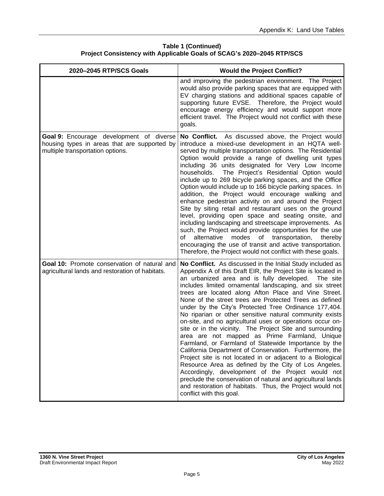#### **Table 1 (Continued) Project Consistency with Applicable Goals of SCAG's 2020–2045 RTP/SCS**

| 2020-2045 RTP/SCS Goals                                                                                                      | <b>Would the Project Conflict?</b>                                                                                                                                                                                                                                                                                                                                                                                                                                                                                                                                                                                                                                                                                                                                                                                                                                                                                                                                                                                                                                                                                    |
|------------------------------------------------------------------------------------------------------------------------------|-----------------------------------------------------------------------------------------------------------------------------------------------------------------------------------------------------------------------------------------------------------------------------------------------------------------------------------------------------------------------------------------------------------------------------------------------------------------------------------------------------------------------------------------------------------------------------------------------------------------------------------------------------------------------------------------------------------------------------------------------------------------------------------------------------------------------------------------------------------------------------------------------------------------------------------------------------------------------------------------------------------------------------------------------------------------------------------------------------------------------|
|                                                                                                                              | and improving the pedestrian environment. The Project<br>would also provide parking spaces that are equipped with<br>EV charging stations and additional spaces capable of<br>supporting future EVSE. Therefore, the Project would<br>encourage energy efficiency and would support more<br>efficient travel. The Project would not conflict with these<br>goals.                                                                                                                                                                                                                                                                                                                                                                                                                                                                                                                                                                                                                                                                                                                                                     |
| Goal 9: Encourage development of diverse<br>housing types in areas that are supported by<br>multiple transportation options. | No Conflict. As discussed above, the Project would<br>introduce a mixed-use development in an HQTA well-<br>served by multiple transportation options. The Residential<br>Option would provide a range of dwelling unit types<br>including 36 units designated for Very Low Income<br>households.<br>The Project's Residential Option would<br>include up to 269 bicycle parking spaces, and the Office<br>Option would include up to 166 bicycle parking spaces. In<br>addition, the Project would encourage walking and<br>enhance pedestrian activity on and around the Project<br>Site by siting retail and restaurant uses on the ground<br>level, providing open space and seating onsite, and<br>including landscaping and streetscape improvements. As<br>such, the Project would provide opportunities for the use<br>alternative<br>modes<br>of transportation,<br>of<br>thereby<br>encouraging the use of transit and active transportation.<br>Therefore, the Project would not conflict with these goals.                                                                                                |
| Goal 10: Promote conservation of natural and<br>agricultural lands and restoration of habitats.                              | No Conflict. As discussed in the Initial Study included as<br>Appendix A of this Draft EIR, the Project Site is located in<br>an urbanized area and is fully developed.<br>The site<br>includes limited ornamental landscaping, and six street<br>trees are located along Afton Place and Vine Street.<br>None of the street trees are Protected Trees as defined<br>under by the City's Protected Tree Ordinance 177,404.<br>No riparian or other sensitive natural community exists<br>on-site, and no agricultural uses or operations occur on-<br>site or in the vicinity. The Project Site and surrounding<br>area are not mapped as Prime Farmland, Unique<br>Farmland, or Farmland of Statewide Importance by the<br>California Department of Conservation. Furthermore, the<br>Project site is not located in or adjacent to a Biological<br>Resource Area as defined by the City of Los Angeles.<br>Accordingly, development of the Project would not<br>preclude the conservation of natural and agricultural lands<br>and restoration of habitats. Thus, the Project would not<br>conflict with this goal. |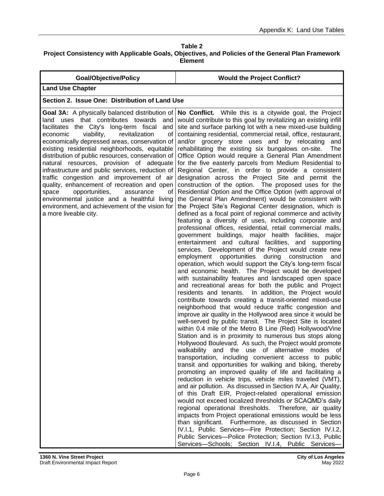| <b>Goal/Objective/Policy</b>                                                                                                                                                                                                                                                                                                                                                                                                                                                                                                                                                                                                                                                                                                | <b>Would the Project Conflict?</b>                                                                                                                                                                                                                                                                                                                                                                                                                                                                                                                                                                                                                                                                                                                                                                                                                                                                                                                                                                                                                                                                                                                                                                                                                                                                                                                                                                                                                                                                                                                                                                                                                                                                                                                                                                                                                                                                                                                                                                                                                                                                                                                                                                                                                                                                                                                                                                                                                                                                                                                                                                                                                                                                                                                                                                                                                                                 |
|-----------------------------------------------------------------------------------------------------------------------------------------------------------------------------------------------------------------------------------------------------------------------------------------------------------------------------------------------------------------------------------------------------------------------------------------------------------------------------------------------------------------------------------------------------------------------------------------------------------------------------------------------------------------------------------------------------------------------------|------------------------------------------------------------------------------------------------------------------------------------------------------------------------------------------------------------------------------------------------------------------------------------------------------------------------------------------------------------------------------------------------------------------------------------------------------------------------------------------------------------------------------------------------------------------------------------------------------------------------------------------------------------------------------------------------------------------------------------------------------------------------------------------------------------------------------------------------------------------------------------------------------------------------------------------------------------------------------------------------------------------------------------------------------------------------------------------------------------------------------------------------------------------------------------------------------------------------------------------------------------------------------------------------------------------------------------------------------------------------------------------------------------------------------------------------------------------------------------------------------------------------------------------------------------------------------------------------------------------------------------------------------------------------------------------------------------------------------------------------------------------------------------------------------------------------------------------------------------------------------------------------------------------------------------------------------------------------------------------------------------------------------------------------------------------------------------------------------------------------------------------------------------------------------------------------------------------------------------------------------------------------------------------------------------------------------------------------------------------------------------------------------------------------------------------------------------------------------------------------------------------------------------------------------------------------------------------------------------------------------------------------------------------------------------------------------------------------------------------------------------------------------------------------------------------------------------------------------------------------------------|
| <b>Land Use Chapter</b>                                                                                                                                                                                                                                                                                                                                                                                                                                                                                                                                                                                                                                                                                                     |                                                                                                                                                                                                                                                                                                                                                                                                                                                                                                                                                                                                                                                                                                                                                                                                                                                                                                                                                                                                                                                                                                                                                                                                                                                                                                                                                                                                                                                                                                                                                                                                                                                                                                                                                                                                                                                                                                                                                                                                                                                                                                                                                                                                                                                                                                                                                                                                                                                                                                                                                                                                                                                                                                                                                                                                                                                                                    |
| Section 2. Issue One: Distribution of Land Use                                                                                                                                                                                                                                                                                                                                                                                                                                                                                                                                                                                                                                                                              |                                                                                                                                                                                                                                                                                                                                                                                                                                                                                                                                                                                                                                                                                                                                                                                                                                                                                                                                                                                                                                                                                                                                                                                                                                                                                                                                                                                                                                                                                                                                                                                                                                                                                                                                                                                                                                                                                                                                                                                                                                                                                                                                                                                                                                                                                                                                                                                                                                                                                                                                                                                                                                                                                                                                                                                                                                                                                    |
| Goal 3A: A physically balanced distribution of<br>land uses that contributes towards<br>and<br>facilitates the City's long-term fiscal<br>and<br>economic<br>viability,<br>revitalization<br>οf<br>economically depressed areas, conservation of<br>existing residential neighborhoods, equitable<br>distribution of public resources, conservation of<br>natural resources, provision of adequate<br>infrastructure and public services, reduction of<br>traffic congestion and improvement of air<br>quality, enhancement of recreation and open<br>space<br>opportunities,<br>assurance<br>οf<br>environmental justice and a healthful living<br>environment, and achievement of the vision for<br>a more liveable city. | No Conflict. While this is a citywide goal, the Project<br>would contribute to this goal by revitalizing an existing infill<br>site and surface parking lot with a new mixed-use building<br>containing residential, commercial retail, office, restaurant,<br>and/or grocery store uses and by relocating<br>and<br>rehabilitating the existing six bungalows on-site.<br>The<br>Office Option would require a General Plan Amendment<br>for the five easterly parcels from Medium Residential to<br>Regional Center, in order to provide a consistent<br>designation across the Project Site and permit the<br>construction of the option. The proposed uses for the<br>Residential Option and the Office Option (with approval of<br>the General Plan Amendment) would be consistent with<br>the Project Site's Regional Center designation, which is<br>defined as a focal point of regional commerce and activity<br>featuring a diversity of uses, including corporate and<br>professional offices, residential, retail commercial malls,<br>government buildings, major health facilities,<br>major<br>entertainment and cultural facilities, and supporting<br>services. Development of the Project would create new<br>employment opportunities during construction<br>and<br>operation, which would support the City's long-term fiscal<br>and economic health. The Project would be developed<br>with sustainability features and landscaped open space<br>and recreational areas for both the public and Project<br>residents and tenants. In addition, the Project would<br>contribute towards creating a transit-oriented mixed-use<br>neighborhood that would reduce traffic congestion and<br>improve air quality in the Hollywood area since it would be<br>well-served by public transit. The Project Site is located<br>within 0.4 mile of the Metro B Line (Red) Hollywood/Vine<br>Station and is in proximity to numerous bus stops along<br>Hollywood Boulevard. As such, the Project would promote<br>walkability and the use of alternative modes of<br>transportation, including convenient access to public<br>transit and opportunities for walking and biking, thereby<br>promoting an improved quality of life and facilitating a<br>reduction in vehicle trips, vehicle miles traveled (VMT),<br>and air pollution. As discussed in Section IV.A, Air Quality,<br>of this Draft EIR, Project-related operational emission<br>would not exceed localized thresholds or SCAQMD's daily<br>regional operational thresholds. Therefore, air quality<br>impacts from Project operational emissions would be less<br>than significant. Furthermore, as discussed in Section<br>IV.I.1, Public Services-Fire Protection; Section IV.I.2,<br>Public Services-Police Protection; Section IV.I.3, Public<br>Services-Schools; Section IV.I.4, Public Services- |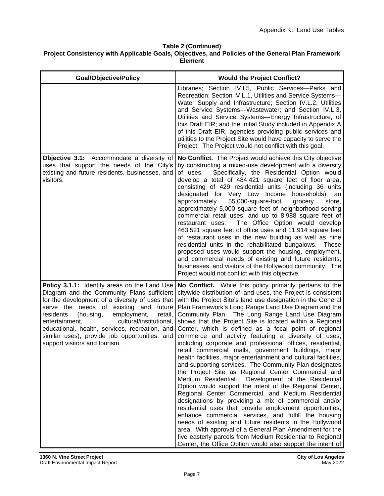| <b>Goal/Objective/Policy</b>                                                                                                                                                                                                                                                                                                                                                                                                 | <b>Would the Project Conflict?</b>                                                                                                                                                                                                                                                                                                                                                                                                                                                                                                                                                                                                                                                                                                                                                                                                                                                                                                                                                                                                                                                                                                                                                                                                                                                                                                                                                           |
|------------------------------------------------------------------------------------------------------------------------------------------------------------------------------------------------------------------------------------------------------------------------------------------------------------------------------------------------------------------------------------------------------------------------------|----------------------------------------------------------------------------------------------------------------------------------------------------------------------------------------------------------------------------------------------------------------------------------------------------------------------------------------------------------------------------------------------------------------------------------------------------------------------------------------------------------------------------------------------------------------------------------------------------------------------------------------------------------------------------------------------------------------------------------------------------------------------------------------------------------------------------------------------------------------------------------------------------------------------------------------------------------------------------------------------------------------------------------------------------------------------------------------------------------------------------------------------------------------------------------------------------------------------------------------------------------------------------------------------------------------------------------------------------------------------------------------------|
|                                                                                                                                                                                                                                                                                                                                                                                                                              | Libraries; Section IV.I.5, Public Services-Parks and<br>Recreation; Section IV.L.1, Utilities and Service Systems-<br>Water Supply and Infrastructure; Section IV.L.2, Utilities<br>and Service Systems--Wastewater; and Section IV.L.3,<br>Utilities and Service Systems-Energy Infrastructure, of<br>this Draft EIR; and the Initial Study included in Appendix A<br>of this Draft EIR, agencies providing public services and<br>utilities to the Project Site would have capacity to serve the<br>Project. The Project would not conflict with this goal.                                                                                                                                                                                                                                                                                                                                                                                                                                                                                                                                                                                                                                                                                                                                                                                                                                |
| Objective 3.1: Accommodate a diversity of<br>uses that support the needs of the City's<br>existing and future residents, businesses, and<br>visitors.                                                                                                                                                                                                                                                                        | No Conflict. The Project would achieve this City objective<br>by constructing a mixed-use development with a diversity<br>Specifically, the Residential Option would<br>of uses.<br>develop a total of 484,421 square feet of floor area,<br>consisting of 429 residential units (including 36 units<br>designated for Very Low Income households), an<br>approximately<br>55,000-square-foot<br>grocery<br>store,<br>approximately 5,000 square feet of neighborhood-serving<br>commercial retail uses, and up to 8,988 square feet of<br>The Office Option would develop<br>restaurant uses.<br>463,521 square feet of office uses and 11,914 square feet<br>of restaurant uses in the new building as well as nine<br>residential units in the rehabilitated bungalows.<br><b>These</b><br>proposed uses would support the housing, employment,<br>and commercial needs of existing and future residents,<br>businesses, and visitors of the Hollywood community. The<br>Project would not conflict with this objective.                                                                                                                                                                                                                                                                                                                                                                  |
| Policy 3.1.1: Identify areas on the Land Use<br>Diagram and the Community Plans sufficient<br>for the development of a diversity of uses that<br>serve the needs of existing and future<br>residents<br>(housing,<br>employment,<br>retail,<br>cultural/institutional,<br>entertainment,<br>educational, health, services, recreation, and<br>similar uses), provide job opportunities, and<br>support visitors and tourism. | No Conflict. While this policy primarily pertains to the<br>citywide distribution of land uses, the Project is consistent<br>with the Project Site's land use designation in the General<br>Plan Framework's Long Range Land Use Diagram and the<br>Community Plan. The Long Range Land Use Diagram<br>shows that the Project Site is located within a Regional<br>Center, which is defined as a focal point of regional<br>commerce and activity featuring a diversity of uses,<br>including corporate and professional offices, residential,<br>retail commercial malls, government buildings, major<br>health facilities, major entertainment and cultural facilities,<br>and supporting services. The Community Plan designates<br>the Project Site as Regional Center Commercial and<br>Medium Residential. Development of the Residential<br>Option would support the intent of the Regional Center,<br>Regional Center Commercial, and Medium Residential<br>designations by providing a mix of commercial and/or<br>residential uses that provide employment opportunities,<br>enhance commercial services, and fulfill the housing<br>needs of existing and future residents in the Hollywood<br>area. With approval of a General Plan Amendment for the<br>five easterly parcels from Medium Residential to Regional<br>Center, the Office Option would also support the intent of |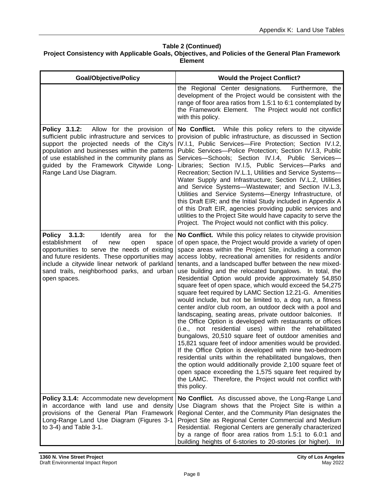| <b>Goal/Objective/Policy</b>                                                                                                                                                                                                                                                                                       | <b>Would the Project Conflict?</b>                                                                                                                                                                                                                                                                                                                                                                                                                                                                                                                                                                                                                                                                                                                                                                                                                                                                                                                                                                                                                                                                                                                                                                                                                                                                                         |
|--------------------------------------------------------------------------------------------------------------------------------------------------------------------------------------------------------------------------------------------------------------------------------------------------------------------|----------------------------------------------------------------------------------------------------------------------------------------------------------------------------------------------------------------------------------------------------------------------------------------------------------------------------------------------------------------------------------------------------------------------------------------------------------------------------------------------------------------------------------------------------------------------------------------------------------------------------------------------------------------------------------------------------------------------------------------------------------------------------------------------------------------------------------------------------------------------------------------------------------------------------------------------------------------------------------------------------------------------------------------------------------------------------------------------------------------------------------------------------------------------------------------------------------------------------------------------------------------------------------------------------------------------------|
|                                                                                                                                                                                                                                                                                                                    | the Regional Center designations.<br>Furthermore, the<br>development of the Project would be consistent with the<br>range of floor area ratios from 1.5:1 to 6:1 contemplated by<br>the Framework Element. The Project would not conflict<br>with this policy.                                                                                                                                                                                                                                                                                                                                                                                                                                                                                                                                                                                                                                                                                                                                                                                                                                                                                                                                                                                                                                                             |
| Allow for the provision of<br>Policy 3.1.2:<br>sufficient public infrastructure and services to<br>support the projected needs of the City's<br>population and businesses within the patterns<br>of use established in the community plans as<br>guided by the Framework Citywide Long-<br>Range Land Use Diagram. | No Conflict. While this policy refers to the citywide<br>provision of public infrastructure, as discussed in Section<br>IV.I.1, Public Services-Fire Protection; Section IV.I.2,<br>Public Services-- Police Protection; Section IV.I.3, Public<br>Services-Schools; Section IV.I.4, Public Services-<br>Libraries; Section IV.I.5, Public Services-Parks and<br>Recreation; Section IV.L.1, Utilities and Service Systems-<br>Water Supply and Infrastructure; Section IV.L.2, Utilities<br>and Service Systems--Wastewater; and Section IV.L.3,<br>Utilities and Service Systems-Energy Infrastructure, of<br>this Draft EIR; and the Initial Study included in Appendix A<br>of this Draft EIR, agencies providing public services and<br>utilities to the Project Site would have capacity to serve the<br>Project. The Project would not conflict with this policy.                                                                                                                                                                                                                                                                                                                                                                                                                                                   |
| Policy 3.1.3:<br>Identify<br>for<br>area<br>the<br>of<br>establishment<br>new<br>space<br>open<br>opportunities to serve the needs of existing<br>and future residents. These opportunities may<br>include a citywide linear network of parkland<br>sand trails, neighborhood parks, and urban<br>open spaces.     | No Conflict. While this policy relates to citywide provision<br>of open space, the Project would provide a variety of open<br>space areas within the Project Site, including a common<br>access lobby, recreational amenities for residents and/or<br>tenants, and a landscaped buffer between the new mixed-<br>use building and the relocated bungalows. In total, the<br>Residential Option would provide approximately 54,850<br>square feet of open space, which would exceed the 54,275<br>square feet required by LAMC Section 12.21-G. Amenities<br>would include, but not be limited to, a dog run, a fitness<br>center and/or club room, an outdoor deck with a pool and<br>landscaping, seating areas, private outdoor balconies. If<br>the Office Option is developed with restaurants or offices<br>(i.e., not residential uses) within the rehabilitated<br>bungalows, 20,510 square feet of outdoor amenities and<br>15,821 square feet of indoor amenities would be provided.<br>If the Office Option is developed with nine two-bedroom<br>residential units within the rehabilitated bungalows, then<br>the option would additionally provide 2,100 square feet of<br>open space exceeding the 1,575 square feet required by<br>the LAMC. Therefore, the Project would not conflict with<br>this policy. |
| Policy 3.1.4: Accommodate new development<br>in accordance with land use and density<br>provisions of the General Plan Framework<br>Long-Range Land Use Diagram (Figures 3-1<br>to 3-4) and Table 3-1.                                                                                                             | No Conflict. As discussed above, the Long-Range Land<br>Use Diagram shows that the Project Site is within a<br>Regional Center, and the Community Plan designates the<br>Project Site as Regional Center Commercial and Medium<br>Residential. Regional Centers are generally characterized<br>by a range of floor area ratios from 1.5:1 to 6.0:1 and<br>building heights of 6-stories to 20-stories (or higher). In                                                                                                                                                                                                                                                                                                                                                                                                                                                                                                                                                                                                                                                                                                                                                                                                                                                                                                      |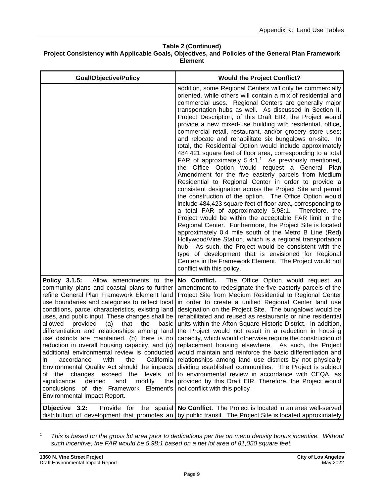| <b>Goal/Objective/Policy</b>                                                                                                                                                                                                                                                                                                                                                                                                                                                                                                                                                                                                                                                                                                                                                                                                                     | <b>Would the Project Conflict?</b>                                                                                                                                                                                                                                                                                                                                                                                                                                                                                                                                                                                                                                                                                                                                                                                                                                                                                                                                                                                                                                                                                                                                                                                                                                                                                                                                                                                                                                                                                                                                          |
|--------------------------------------------------------------------------------------------------------------------------------------------------------------------------------------------------------------------------------------------------------------------------------------------------------------------------------------------------------------------------------------------------------------------------------------------------------------------------------------------------------------------------------------------------------------------------------------------------------------------------------------------------------------------------------------------------------------------------------------------------------------------------------------------------------------------------------------------------|-----------------------------------------------------------------------------------------------------------------------------------------------------------------------------------------------------------------------------------------------------------------------------------------------------------------------------------------------------------------------------------------------------------------------------------------------------------------------------------------------------------------------------------------------------------------------------------------------------------------------------------------------------------------------------------------------------------------------------------------------------------------------------------------------------------------------------------------------------------------------------------------------------------------------------------------------------------------------------------------------------------------------------------------------------------------------------------------------------------------------------------------------------------------------------------------------------------------------------------------------------------------------------------------------------------------------------------------------------------------------------------------------------------------------------------------------------------------------------------------------------------------------------------------------------------------------------|
|                                                                                                                                                                                                                                                                                                                                                                                                                                                                                                                                                                                                                                                                                                                                                                                                                                                  | addition, some Regional Centers will only be commercially<br>oriented, while others will contain a mix of residential and<br>commercial uses. Regional Centers are generally major<br>transportation hubs as well. As discussed in Section II,<br>Project Description, of this Draft EIR, the Project would<br>provide a new mixed-use building with residential, office,<br>commercial retail, restaurant, and/or grocery store uses;<br>and relocate and rehabilitate six bungalows on-site. In<br>total, the Residential Option would include approximately<br>484,421 square feet of floor area, corresponding to a total<br>FAR of approximately 5.4:1. <sup>1</sup> As previously mentioned,<br>the Office Option would request a General Plan<br>Amendment for the five easterly parcels from Medium<br>Residential to Regional Center in order to provide a<br>consistent designation across the Project Site and permit<br>the construction of the option. The Office Option would<br>include 484,423 square feet of floor area, corresponding to<br>a total FAR of approximately 5.98:1. Therefore, the<br>Project would be within the acceptable FAR limit in the<br>Regional Center. Furthermore, the Project Site is located<br>approximately 0.4 mile south of the Metro B Line (Red)<br>Hollywood/Vine Station, which is a regional transportation<br>hub. As such, the Project would be consistent with the<br>type of development that is envisioned for Regional<br>Centers in the Framework Element. The Project would not<br>conflict with this policy. |
| Policy 3.1.5:<br>Allow amendments to the<br>community plans and coastal plans to further<br>refine General Plan Framework Element land<br>use boundaries and categories to reflect local<br>conditions, parcel characteristics, existing land<br>uses, and public input. These changes shall be<br>allowed<br>provided<br>(a)<br>that<br>the<br>basic<br>differentiation and relationships among land<br>use districts are maintained, (b) there is no<br>reduction in overall housing capacity, and (c)<br>additional environmental review is conducted<br>California<br>with<br>the<br>accordance<br>in<br>Environmental Quality Act should the impacts<br>the changes exceed the<br>levels<br>of<br>of<br>defined<br>and<br>modify<br>significance<br>the<br>conclusions<br>of the Framework Element's<br><b>Environmental Impact Report.</b> | No Conflict.<br>The Office Option would request an<br>amendment to redesignate the five easterly parcels of the<br>Project Site from Medium Residential to Regional Center<br>in order to create a unified Regional Center land use<br>designation on the Project Site. The bungalows would be<br>rehabilitated and reused as restaurants or nine residential<br>units within the Afton Square Historic District. In addition,<br>the Project would not result in a reduction in housing<br>capacity, which would otherwise require the construction of<br>replacement housing elsewhere. As such, the Project<br>would maintain and reinforce the basic differentiation and<br>relationships among land use districts by not physically<br>dividing established communities. The Project is subject<br>to environmental review in accordance with CEQA, as<br>provided by this Draft EIR. Therefore, the Project would<br>not conflict with this policy                                                                                                                                                                                                                                                                                                                                                                                                                                                                                                                                                                                                                    |
| Objective 3.2:                                                                                                                                                                                                                                                                                                                                                                                                                                                                                                                                                                                                                                                                                                                                                                                                                                   | Provide for the spatial   No Conflict. The Project is located in an area well-served<br>distribution of development that promotes an by public transit. The Project Site is located approximately                                                                                                                                                                                                                                                                                                                                                                                                                                                                                                                                                                                                                                                                                                                                                                                                                                                                                                                                                                                                                                                                                                                                                                                                                                                                                                                                                                           |

*<sup>1</sup> This is based on the gross lot area prior to dedications per the on menu density bonus incentive. Without such incentive, the FAR would be 5.98:1 based on a net lot area of 81,050 square feet.*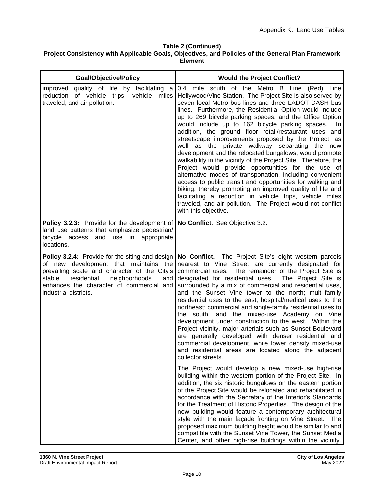| <b>Goal/Objective/Policy</b>                                                                                                                                                                                                                                   | <b>Would the Project Conflict?</b>                                                                                                                                                                                                                                                                                                                                                                                                                                                                                                                                                                                                                                                                                                                                                                                                                                                                                                                                                                                                                                                                                                                                                                                                                                                                                                                                                                                                                                                                                                             |
|----------------------------------------------------------------------------------------------------------------------------------------------------------------------------------------------------------------------------------------------------------------|------------------------------------------------------------------------------------------------------------------------------------------------------------------------------------------------------------------------------------------------------------------------------------------------------------------------------------------------------------------------------------------------------------------------------------------------------------------------------------------------------------------------------------------------------------------------------------------------------------------------------------------------------------------------------------------------------------------------------------------------------------------------------------------------------------------------------------------------------------------------------------------------------------------------------------------------------------------------------------------------------------------------------------------------------------------------------------------------------------------------------------------------------------------------------------------------------------------------------------------------------------------------------------------------------------------------------------------------------------------------------------------------------------------------------------------------------------------------------------------------------------------------------------------------|
| quality of life by facilitating a<br>improved<br>reduction of vehicle trips, vehicle<br>miles<br>traveled, and air pollution.                                                                                                                                  | 0.4 mile south of the Metro B Line (Red) Line<br>Hollywood/Vine Station. The Project Site is also served by<br>seven local Metro bus lines and three LADOT DASH bus<br>lines. Furthermore, the Residential Option would include<br>up to 269 bicycle parking spaces, and the Office Option<br>would include up to 162 bicycle parking spaces.<br>In.<br>addition, the ground floor retail/restaurant uses and<br>streetscape improvements proposed by the Project, as<br>well as the private walkway separating the new<br>development and the relocated bungalows, would promote<br>walkability in the vicinity of the Project Site. Therefore, the<br>Project would provide opportunities for the use of<br>alternative modes of transportation, including convenient<br>access to public transit and opportunities for walking and<br>biking, thereby promoting an improved quality of life and<br>facilitating a reduction in vehicle trips, vehicle miles<br>traveled, and air pollution. The Project would not conflict<br>with this objective.                                                                                                                                                                                                                                                                                                                                                                                                                                                                                          |
| <b>Policy 3.2.3:</b> Provide for the development of<br>land use patterns that emphasize pedestrian/<br>bicycle access<br>and<br>use in<br>appropriate<br>locations.                                                                                            | No Conflict. See Objective 3.2.                                                                                                                                                                                                                                                                                                                                                                                                                                                                                                                                                                                                                                                                                                                                                                                                                                                                                                                                                                                                                                                                                                                                                                                                                                                                                                                                                                                                                                                                                                                |
| Policy 3.2.4: Provide for the siting and design<br>of new development that maintains the<br>prevailing scale and character of the City's<br>stable<br>residential<br>neighborhoods<br>and<br>enhances the character of commercial and<br>industrial districts. | No Conflict. The Project Site's eight western parcels<br>nearest to Vine Street are currently designated for<br>commercial uses. The remainder of the Project Site is<br>designated for residential uses. The Project Site is<br>surrounded by a mix of commercial and residential uses,<br>and the Sunset Vine tower to the north; multi-family<br>residential uses to the east; hospital/medical uses to the<br>northeast; commercial and single-family residential uses to<br>the south; and the mixed-use Academy on Vine<br>development under construction to the west. Within the<br>Project vicinity, major arterials such as Sunset Boulevard<br>are generally developed with denser residential and<br>commercial development, while lower density mixed-use<br>and residential areas are located along the adjacent<br>collector streets.<br>The Project would develop a new mixed-use high-rise<br>building within the western portion of the Project Site. In<br>addition, the six historic bungalows on the eastern portion<br>of the Project Site would be relocated and rehabilitated in<br>accordance with the Secretary of the Interior's Standards<br>for the Treatment of Historic Properties. The design of the<br>new building would feature a contemporary architectural<br>style with the main façade fronting on Vine Street. The<br>proposed maximum building height would be similar to and<br>compatible with the Sunset Vine Tower, the Sunset Media<br>Center, and other high-rise buildings within the vicinity. |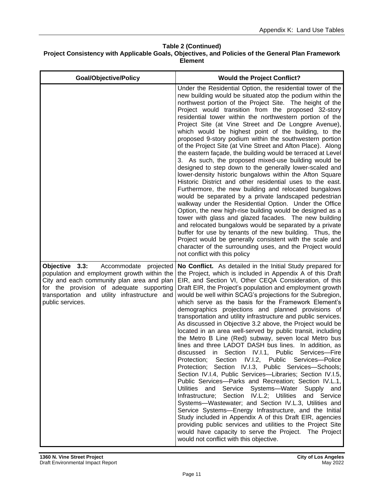| <b>Goal/Objective/Policy</b>                                                                                                                                                                                                                          | <b>Would the Project Conflict?</b>                                                                                                                                                                                                                                                                                                                                                                                                                                                                                                                                                                                                                                                                                                                                                                                                                                                                                                                                                                                                                                                                                                                                                                                                                                                                                                                                                                                                                                                                |
|-------------------------------------------------------------------------------------------------------------------------------------------------------------------------------------------------------------------------------------------------------|---------------------------------------------------------------------------------------------------------------------------------------------------------------------------------------------------------------------------------------------------------------------------------------------------------------------------------------------------------------------------------------------------------------------------------------------------------------------------------------------------------------------------------------------------------------------------------------------------------------------------------------------------------------------------------------------------------------------------------------------------------------------------------------------------------------------------------------------------------------------------------------------------------------------------------------------------------------------------------------------------------------------------------------------------------------------------------------------------------------------------------------------------------------------------------------------------------------------------------------------------------------------------------------------------------------------------------------------------------------------------------------------------------------------------------------------------------------------------------------------------|
|                                                                                                                                                                                                                                                       | Under the Residential Option, the residential tower of the<br>new building would be situated atop the podium within the<br>northwest portion of the Project Site. The height of the<br>Project would transition from the proposed 32-story<br>residential tower within the northwestern portion of the<br>Project Site (at Vine Street and De Longpre Avenue),<br>which would be highest point of the building, to the<br>proposed 9-story podium within the southwestern portion<br>of the Project Site (at Vine Street and Afton Place). Along<br>the eastern façade, the building would be terraced at Level<br>3. As such, the proposed mixed-use building would be<br>designed to step down to the generally lower-scaled and<br>lower-density historic bungalows within the Afton Square<br>Historic District and other residential uses to the east.<br>Furthermore, the new building and relocated bungalows<br>would be separated by a private landscaped pedestrian<br>walkway under the Residential Option. Under the Office<br>Option, the new high-rise building would be designed as a<br>tower with glass and glazed facades. The new building<br>and relocated bungalows would be separated by a private<br>buffer for use by tenants of the new building. Thus, the<br>Project would be generally consistent with the scale and<br>character of the surrounding uses, and the Project would<br>not conflict with this policy                                                     |
| Objective 3.3:<br>Accommodate projected<br>population and employment growth within the<br>City and each community plan area and plan<br>for the provision of adequate supporting<br>transportation and utility infrastructure and<br>public services. | No Conflict. As detailed in the Initial Study prepared for<br>the Project, which is included in Appendix A of this Draft<br>EIR, and Section VI, Other CEQA Consideration, of this<br>Draft EIR, the Project's population and employment growth<br>would be well within SCAG's projections for the Subregion,<br>which serve as the basis for the Framework Element's<br>demographics projections and planned provisions of<br>transportation and utility infrastructure and public services.<br>As discussed in Objective 3.2 above, the Project would be<br>located in an area well-served by public transit, including<br>the Metro B Line (Red) subway, seven local Metro bus<br>lines and three LADOT DASH bus lines. In addition, as<br>discussed in Section IV.I.1, Public Services-Fire<br>Protection; Section IV.I.2, Public Services-Police<br>Protection; Section IV.I.3, Public Services-Schools;<br>Section IV.I.4, Public Services-Libraries; Section IV.I.5,<br>Public Services-Parks and Recreation; Section IV.L.1,<br>Utilities and Service Systems-Water Supply and<br>Infrastructure; Section IV.L.2; Utilities and Service<br>Systems-Wastewater; and Section IV.L.3, Utilities and<br>Service Systems-Energy Infrastructure, and the Initial<br>Study included in Appendix A of this Draft EIR, agencies<br>providing public services and utilities to the Project Site<br>would have capacity to serve the Project. The Project<br>would not conflict with this objective. |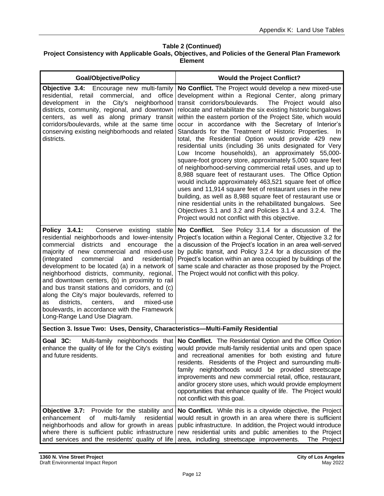| <b>Goal/Objective/Policy</b>                                                                                                                                                                                                                                                                                                                                                                                                                                                                                                                                                                                                                 | <b>Would the Project Conflict?</b>                                                                                                                                                                                                                                                                                                                                                                                                                                                                                                                                                                                                                                                                                                                                                                                                                                                                                                                                                                                                                                                                                                                                  |
|----------------------------------------------------------------------------------------------------------------------------------------------------------------------------------------------------------------------------------------------------------------------------------------------------------------------------------------------------------------------------------------------------------------------------------------------------------------------------------------------------------------------------------------------------------------------------------------------------------------------------------------------|---------------------------------------------------------------------------------------------------------------------------------------------------------------------------------------------------------------------------------------------------------------------------------------------------------------------------------------------------------------------------------------------------------------------------------------------------------------------------------------------------------------------------------------------------------------------------------------------------------------------------------------------------------------------------------------------------------------------------------------------------------------------------------------------------------------------------------------------------------------------------------------------------------------------------------------------------------------------------------------------------------------------------------------------------------------------------------------------------------------------------------------------------------------------|
| Objective 3.4: Encourage new multi-family<br>residential, retail commercial,<br>and<br>office<br>development in the City's neighborhood<br>districts, community, regional, and downtown<br>centers, as well as along primary transit<br>corridors/boulevards, while at the same time<br>conserving existing neighborhoods and related<br>districts.                                                                                                                                                                                                                                                                                          | No Conflict. The Project would develop a new mixed-use<br>development within a Regional Center, along primary<br>transit corridors/boulevards.<br>The Project would also<br>relocate and rehabilitate the six existing historic bungalows<br>within the eastern portion of the Project Site, which would<br>occur in accordance with the Secretary of Interior's<br>Standards for the Treatment of Historic Properties.<br>- In<br>total, the Residential Option would provide 429 new<br>residential units (including 36 units designated for Very<br>Low Income households), an approximately 55,000-<br>square-foot grocery store, approximately 5,000 square feet<br>of neighborhood-serving commercial retail uses, and up to<br>8,988 square feet of restaurant uses. The Office Option<br>would include approximately 463,521 square feet of office<br>uses and 11,914 square feet of restaurant uses in the new<br>building, as well as 8,988 square feet of restaurant use or<br>nine residential units in the rehabilitated bungalows. See<br>Objectives 3.1 and 3.2 and Policies 3.1.4 and 3.2.4. The<br>Project would not conflict with this objective. |
| Policy 3.4.1:<br>Conserve existing stable<br>residential neighborhoods and lower-intensity<br>commercial<br>districts<br>and<br>encourage<br>the<br>majority of new commercial and mixed-use<br>commercial<br>and<br>(integrated<br>residential)<br>development to be located (a) in a network of<br>neighborhood districts, community, regional,<br>and downtown centers, (b) in proximity to rail<br>and bus transit stations and corridors, and (c)<br>along the City's major boulevards, referred to<br>districts,<br>centers,<br>and<br>mixed-use<br>as<br>boulevards, in accordance with the Framework<br>Long-Range Land Use Diagram. | No Conflict.<br>See Policy 3.1.4 for a discussion of the<br>Project's location within a Regional Center, Objective 3.2 for<br>a discussion of the Project's location in an area well-served<br>by public transit, and Policy 3.2.4 for a discussion of the<br>Project's location within an area occupied by buildings of the<br>same scale and character as those proposed by the Project.<br>The Project would not conflict with this policy.                                                                                                                                                                                                                                                                                                                                                                                                                                                                                                                                                                                                                                                                                                                      |
| Section 3. Issue Two: Uses, Density, Characteristics-Multi-Family Residential                                                                                                                                                                                                                                                                                                                                                                                                                                                                                                                                                                |                                                                                                                                                                                                                                                                                                                                                                                                                                                                                                                                                                                                                                                                                                                                                                                                                                                                                                                                                                                                                                                                                                                                                                     |
| Goal 3C:<br>and future residents.                                                                                                                                                                                                                                                                                                                                                                                                                                                                                                                                                                                                            | Multi-family neighborhoods that <b>No Conflict.</b> The Residential Option and the Office Option<br>enhance the quality of life for the City's existing would provide multi-family residential units and open space<br>and recreational amenities for both existing and future<br>residents. Residents of the Project and surrounding multi-<br>family neighborhoods would be provided streetscape<br>improvements and new commercial retail, office, restaurant,<br>and/or grocery store uses, which would provide employment<br>opportunities that enhance quality of life. The Project would<br>not conflict with this goal.                                                                                                                                                                                                                                                                                                                                                                                                                                                                                                                                     |
| Objective 3.7:<br>Provide for the stability and<br>multi-family<br>enhancement<br>residential<br>οf<br>neighborhoods and allow for growth in areas<br>where there is sufficient public infrastructure<br>and services and the residents' quality of life                                                                                                                                                                                                                                                                                                                                                                                     | No Conflict. While this is a citywide objective, the Project<br>would result in growth in an area where there is sufficient<br>public infrastructure. In addition, the Project would introduce<br>new residential units and public amenities to the Project<br>area, including streetscape improvements.<br>The Project                                                                                                                                                                                                                                                                                                                                                                                                                                                                                                                                                                                                                                                                                                                                                                                                                                             |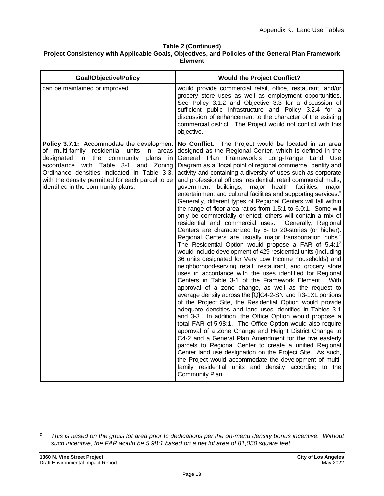| <b>Goal/Objective/Policy</b>                                                                                                                                                                                                                                                                                                           | <b>Would the Project Conflict?</b>                                                                                                                                                                                                                                                                                                                                                                                                                                                                                                                                                                                                                                                                                                                                                                                                                                                                                                                                                                                                                                                                                                                                                                                                                                                                                                                                                                                                                                                                                                                                                                                                                                                                                                                                                                                                                                                                                                                                                                                                            |
|----------------------------------------------------------------------------------------------------------------------------------------------------------------------------------------------------------------------------------------------------------------------------------------------------------------------------------------|-----------------------------------------------------------------------------------------------------------------------------------------------------------------------------------------------------------------------------------------------------------------------------------------------------------------------------------------------------------------------------------------------------------------------------------------------------------------------------------------------------------------------------------------------------------------------------------------------------------------------------------------------------------------------------------------------------------------------------------------------------------------------------------------------------------------------------------------------------------------------------------------------------------------------------------------------------------------------------------------------------------------------------------------------------------------------------------------------------------------------------------------------------------------------------------------------------------------------------------------------------------------------------------------------------------------------------------------------------------------------------------------------------------------------------------------------------------------------------------------------------------------------------------------------------------------------------------------------------------------------------------------------------------------------------------------------------------------------------------------------------------------------------------------------------------------------------------------------------------------------------------------------------------------------------------------------------------------------------------------------------------------------------------------------|
| can be maintained or improved.                                                                                                                                                                                                                                                                                                         | would provide commercial retail, office, restaurant, and/or<br>grocery store uses as well as employment opportunities.<br>See Policy 3.1.2 and Objective 3.3 for a discussion of<br>sufficient public infrastructure and Policy 3.2.4 for a<br>discussion of enhancement to the character of the existing<br>commercial district. The Project would not conflict with this<br>objective.                                                                                                                                                                                                                                                                                                                                                                                                                                                                                                                                                                                                                                                                                                                                                                                                                                                                                                                                                                                                                                                                                                                                                                                                                                                                                                                                                                                                                                                                                                                                                                                                                                                      |
| Policy 3.7.1: Accommodate the development<br>of multi-family residential units in areas<br>the community<br>designated<br>plans<br>in<br><i>in</i><br>accordance with Table 3-1<br>and Zoning<br>Ordinance densities indicated in Table 3-3,<br>with the density permitted for each parcel to be<br>identified in the community plans. | No Conflict. The Project would be located in an area<br>designed as the Regional Center, which is defined in the<br>General Plan Framework's Long-Range Land Use<br>Diagram as a "focal point of regional commerce, identity and<br>activity and containing a diversity of uses such as corporate<br>and professional offices, residential, retail commercial malls,<br>buildings,<br>facilities,<br>government<br>major health<br>major<br>entertainment and cultural facilities and supporting services."<br>Generally, different types of Regional Centers will fall within<br>the range of floor area ratios from 1.5:1 to 6.0:1. Some will<br>only be commercially oriented; others will contain a mix of<br>residential and commercial uses. Generally, Regional<br>Centers are characterized by 6- to 20-stories (or higher).<br>Regional Centers are usually major transportation hubs."<br>The Residential Option would propose a FAR of 5.4:1 <sup>2</sup><br>would include development of 429 residential units (including<br>36 units designated for Very Low Income households) and<br>neighborhood-serving retail, restaurant, and grocery store<br>uses in accordance with the uses identified for Regional<br>Centers in Table 3-1 of the Framework Element. With<br>approval of a zone change, as well as the request to<br>average density across the [Q]C4-2-SN and R3-1XL portions<br>of the Project Site, the Residential Option would provide<br>adequate densities and land uses identified in Tables 3-1<br>and 3-3. In addition, the Office Option would propose a<br>total FAR of 5.98:1. The Office Option would also require<br>approval of a Zone Change and Height District Change to<br>C4-2 and a General Plan Amendment for the five easterly<br>parcels to Regional Center to create a unified Regional<br>Center land use designation on the Project Site. As such,<br>the Project would accommodate the development of multi-<br>family residential units and density according to the<br>Community Plan. |

*<sup>2</sup> This is based on the gross lot area prior to dedications per the on-menu density bonus incentive. Without such incentive, the FAR would be 5.98:1 based on a net lot area of 81,050 square feet.*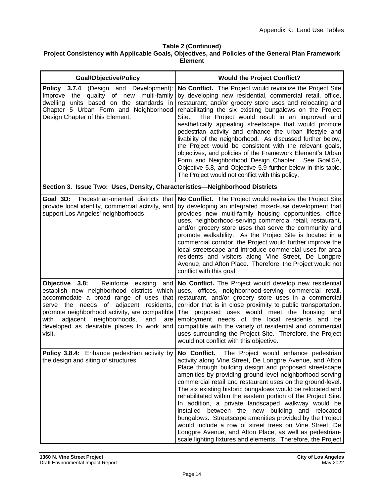| <b>Goal/Objective/Policy</b>                                                                                                                                                                                                                                                                                                              | <b>Would the Project Conflict?</b>                                                                                                                                                                                                                                                                                                                                                                                                                                                                                                                                                                                                                                                                                                                                                              |
|-------------------------------------------------------------------------------------------------------------------------------------------------------------------------------------------------------------------------------------------------------------------------------------------------------------------------------------------|-------------------------------------------------------------------------------------------------------------------------------------------------------------------------------------------------------------------------------------------------------------------------------------------------------------------------------------------------------------------------------------------------------------------------------------------------------------------------------------------------------------------------------------------------------------------------------------------------------------------------------------------------------------------------------------------------------------------------------------------------------------------------------------------------|
| Policy 3.7.4<br>(Design and Development):<br>quality of new<br>multi-family<br>Improve the<br>dwelling units based on the standards in<br>Chapter 5 Urban Form and Neighborhood<br>Design Chapter of this Element.                                                                                                                        | No Conflict. The Project would revitalize the Project Site<br>by developing new residential, commercial retail, office,<br>restaurant, and/or grocery store uses and relocating and<br>rehabilitating the six existing bungalows on the Project<br>The Project would result in an improved and<br>Site.<br>aesthetically appealing streetscape that would promote<br>pedestrian activity and enhance the urban lifestyle and<br>livability of the neighborhood. As discussed further below,<br>the Project would be consistent with the relevant goals,<br>objectives, and policies of the Framework Element's Urban<br>Form and Neighborhood Design Chapter. See Goal 5A,<br>Objective 5.8, and Objective 5.9 further below in this table.<br>The Project would not conflict with this policy. |
| Section 3. Issue Two: Uses, Density, Characteristics-Neighborhood Districts                                                                                                                                                                                                                                                               |                                                                                                                                                                                                                                                                                                                                                                                                                                                                                                                                                                                                                                                                                                                                                                                                 |
| Goal 3D: Pedestrian-oriented districts that<br>provide local identity, commercial activity, and<br>support Los Angeles' neighborhoods.                                                                                                                                                                                                    | No Conflict. The Project would revitalize the Project Site<br>by developing an integrated mixed-use development that<br>provides new multi-family housing opportunities, office<br>uses, neighborhood-serving commercial retail, restaurant,<br>and/or grocery store uses that serve the community and<br>promote walkability. As the Project Site is located in a<br>commercial corridor, the Project would further improve the<br>local streetscape and introduce commercial uses for area<br>residents and visitors along Vine Street, De Longpre<br>Avenue, and Afton Place. Therefore, the Project would not<br>conflict with this goal.                                                                                                                                                   |
| Reinforce existing<br>Objective 3.8:<br>and<br>establish new neighborhood districts which<br>accommodate a broad range of uses that<br>serve the needs of adjacent<br>residents,<br>promote neighborhood activity, are compatible<br>adjacent neighborhoods,<br>with<br>and<br>are<br>developed as desirable places to work and<br>visit. | No Conflict. The Project would develop new residential<br>uses, offices, neighborhood-serving commercial retail,<br>restaurant, and/or grocery store uses in a commercial<br>corridor that is in close proximity to public transportation.<br>The proposed uses would meet the housing<br>and<br>employment needs of the local residents and be<br>compatible with the variety of residential and commercial<br>uses surrounding the Project Site. Therefore, the Project<br>would not conflict with this objective.                                                                                                                                                                                                                                                                            |
| Policy 3.8.4: Enhance pedestrian activity by<br>the design and siting of structures.                                                                                                                                                                                                                                                      | No Conflict. The Project would enhance pedestrian<br>activity along Vine Street, De Longpre Avenue, and Afton<br>Place through building design and proposed streetscape<br>amenities by providing ground-level neighborhood-serving<br>commercial retail and restaurant uses on the ground-level.<br>The six existing historic bungalows would be relocated and<br>rehabilitated within the eastern portion of the Project Site.<br>In addition, a private landscaped walkway would be<br>installed between the new building and relocated<br>bungalows. Streetscape amenities provided by the Project<br>would include a row of street trees on Vine Street, De<br>Longpre Avenue, and Afton Place, as well as pedestrian-<br>scale lighting fixtures and elements. Therefore, the Project     |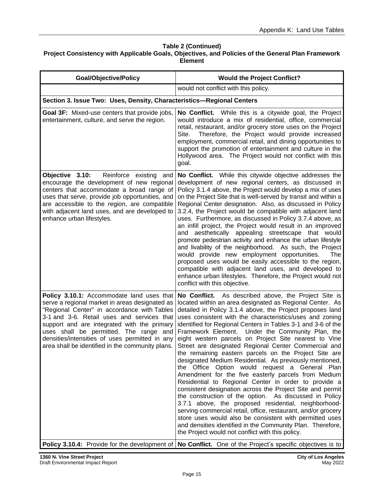| <b>Goal/Objective/Policy</b>                                                                                                                                                                                                                                                                                                                                                            | <b>Would the Project Conflict?</b>                                                                                                                                                                                                                                                                                                                                                                                                                                                                                                                                                                                                                                                                                                                                                                                                                                                                                                                                                                                                                                                                                                                                                                                                                                                                                   |
|-----------------------------------------------------------------------------------------------------------------------------------------------------------------------------------------------------------------------------------------------------------------------------------------------------------------------------------------------------------------------------------------|----------------------------------------------------------------------------------------------------------------------------------------------------------------------------------------------------------------------------------------------------------------------------------------------------------------------------------------------------------------------------------------------------------------------------------------------------------------------------------------------------------------------------------------------------------------------------------------------------------------------------------------------------------------------------------------------------------------------------------------------------------------------------------------------------------------------------------------------------------------------------------------------------------------------------------------------------------------------------------------------------------------------------------------------------------------------------------------------------------------------------------------------------------------------------------------------------------------------------------------------------------------------------------------------------------------------|
|                                                                                                                                                                                                                                                                                                                                                                                         | would not conflict with this policy.                                                                                                                                                                                                                                                                                                                                                                                                                                                                                                                                                                                                                                                                                                                                                                                                                                                                                                                                                                                                                                                                                                                                                                                                                                                                                 |
| Section 3. Issue Two: Uses, Density, Characteristics-Regional Centers                                                                                                                                                                                                                                                                                                                   |                                                                                                                                                                                                                                                                                                                                                                                                                                                                                                                                                                                                                                                                                                                                                                                                                                                                                                                                                                                                                                                                                                                                                                                                                                                                                                                      |
| <b>Goal 3F:</b> Mixed-use centers that provide jobs,<br>entertainment, culture, and serve the region.                                                                                                                                                                                                                                                                                   | No Conflict. While this is a citywide goal, the Project<br>would introduce a mix of residential, office, commercial<br>retail, restaurant, and/or grocery store uses on the Project<br>Site.<br>Therefore, the Project would provide increased<br>employment, commercial retail, and dining opportunities to<br>support the promotion of entertainment and culture in the<br>Hollywood area. The Project would not conflict with this<br>goal.                                                                                                                                                                                                                                                                                                                                                                                                                                                                                                                                                                                                                                                                                                                                                                                                                                                                       |
| Objective 3.10:<br>Reinforce existing and<br>encourage the development of new regional<br>centers that accommodate a broad range of<br>uses that serve, provide job opportunities, and<br>are accessible to the region, are compatible<br>with adjacent land uses, and are developed to<br>enhance urban lifestyles.                                                                    | No Conflict. While this citywide objective addresses the<br>development of new regional centers, as discussed in<br>Policy 3.1.4 above, the Project would develop a mix of uses<br>on the Project Site that is well-served by transit and within a<br>Regional Center designation. Also, as discussed in Policy<br>3.2.4, the Project would be compatible with adjacent land<br>uses. Furthermore, as discussed in Policy 3.7.4 above, as<br>an infill project, the Project would result in an improved<br>and aesthetically appealing streetscape that would<br>promote pedestrian activity and enhance the urban lifestyle<br>and livability of the neighborhood. As such, the Project<br>would provide new employment opportunities.<br>The<br>proposed uses would be easily accessible to the region,<br>compatible with adjacent land uses, and developed to<br>enhance urban lifestyles. Therefore, the Project would not<br>conflict with this objective.                                                                                                                                                                                                                                                                                                                                                     |
| Policy 3.10.1: Accommodate land uses that<br>serve a regional market in areas designated as<br>"Regional Center" in accordance with Tables<br>3-1 and 3-6. Retail uses and services that<br>support and are integrated with the primary<br>uses shall be permitted. The range and<br>densities/intensities of uses permitted in any<br>area shall be identified in the community plans. | No Conflict. As described above, the Project Site is<br>located within an area designated as Regional Center. As<br>detailed in Policy 3.1.4 above, the Project proposes land<br>uses consistent with the characteristics/uses and zoning<br>identified for Regional Centers in Tables 3-1 and 3-6 of the<br>Framework Element. Under the Community Plan, the<br>eight western parcels on Project Site nearest to Vine<br>Street are designated Regional Center Commercial and<br>the remaining eastern parcels on the Project Site are<br>designated Medium Residential. As previously mentioned,<br>the Office Option would request a General Plan<br>Amendment for the five easterly parcels from Medium<br>Residential to Regional Center in order to provide a<br>consistent designation across the Project Site and permit<br>the construction of the option. As discussed in Policy<br>3.7.1 above, the proposed residential, neighborhood-<br>serving commercial retail, office, restaurant, and/or grocery<br>store uses would also be consistent with permitted uses<br>and densities identified in the Community Plan. Therefore,<br>the Project would not conflict with this policy.<br><b>Policy 3.10.4:</b> Provide for the development of No Conflict. One of the Project's specific objectives is to |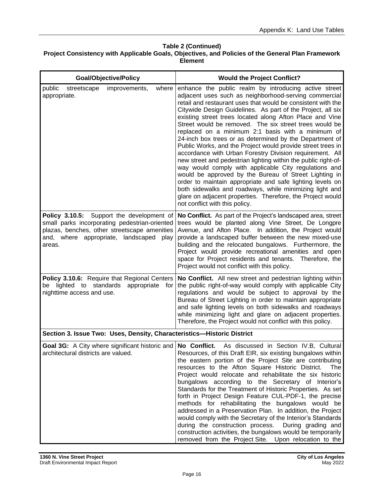| <b>Goal/Objective/Policy</b>                                                                                                                                                                          | <b>Would the Project Conflict?</b>                                                                                                                                                                                                                                                                                                                                                                                                                                                                                                                                                                                                                                                                                                                                                                                                                                                                                                                                                                                         |
|-------------------------------------------------------------------------------------------------------------------------------------------------------------------------------------------------------|----------------------------------------------------------------------------------------------------------------------------------------------------------------------------------------------------------------------------------------------------------------------------------------------------------------------------------------------------------------------------------------------------------------------------------------------------------------------------------------------------------------------------------------------------------------------------------------------------------------------------------------------------------------------------------------------------------------------------------------------------------------------------------------------------------------------------------------------------------------------------------------------------------------------------------------------------------------------------------------------------------------------------|
| public<br>improvements,<br>where<br>streetscape<br>appropriate.                                                                                                                                       | enhance the public realm by introducing active street<br>adjacent uses such as neighborhood-serving commercial<br>retail and restaurant uses that would be consistent with the<br>Citywide Design Guidelines. As part of the Project, all six<br>existing street trees located along Afton Place and Vine<br>Street would be removed. The six street trees would be<br>replaced on a minimum 2:1 basis with a minimum of<br>24-inch box trees or as determined by the Department of<br>Public Works, and the Project would provide street trees in<br>accordance with Urban Forestry Division requirement. All<br>new street and pedestrian lighting within the public right-of-<br>way would comply with applicable City regulations and<br>would be approved by the Bureau of Street Lighting in<br>order to maintain appropriate and safe lighting levels on<br>both sidewalks and roadways, while minimizing light and<br>glare on adjacent properties. Therefore, the Project would<br>not conflict with this policy. |
| Support the development of<br>Policy 3.10.5:<br>small parks incorporating pedestrian-oriented<br>plazas, benches, other streetscape amenities<br>and, where appropriate, landscaped<br>play<br>areas. | No Conflict. As part of the Project's landscaped area, street<br>trees would be planted along Vine Street, De Longpre<br>Avenue, and Afton Place. In addition, the Project would<br>provide a landscaped buffer between the new mixed-use<br>building and the relocated bungalows. Furthermore, the<br>Project would provide recreational amenities and open<br>space for Project residents and tenants. Therefore, the<br>Project would not conflict with this policy.                                                                                                                                                                                                                                                                                                                                                                                                                                                                                                                                                    |
| Policy 3.10.6: Require that Regional Centers<br>be lighted to standards<br>appropriate<br>for<br>nighttime access and use.                                                                            | No Conflict. All new street and pedestrian lighting within<br>the public right-of-way would comply with applicable City<br>regulations and would be subject to approval by the<br>Bureau of Street Lighting in order to maintain appropriate<br>and safe lighting levels on both sidewalks and roadways<br>while minimizing light and glare on adjacent properties.<br>Therefore, the Project would not conflict with this policy.                                                                                                                                                                                                                                                                                                                                                                                                                                                                                                                                                                                         |
| Section 3. Issue Two: Uses, Density, Characteristics-Historic District                                                                                                                                |                                                                                                                                                                                                                                                                                                                                                                                                                                                                                                                                                                                                                                                                                                                                                                                                                                                                                                                                                                                                                            |
| architectural districts are valued.                                                                                                                                                                   | Goal 3G: A City where significant historic and No Conflict. As discussed in Section IV.B, Cultural<br>Resources, of this Draft EIR, six existing bungalows within<br>the eastern portion of the Project Site are contributing<br>resources to the Afton Square Historic District.<br>The<br>Project would relocate and rehabilitate the six historic<br>bungalows according to the Secretary of Interior's<br>Standards for the Treatment of Historic Properties. As set<br>forth in Project Design Feature CUL-PDF-1, the precise<br>methods for rehabilitating the bungalows would be<br>addressed in a Preservation Plan. In addition, the Project                                                                                                                                                                                                                                                                                                                                                                      |

would comply with the Secretary of the Interior's Standards during the construction process. During grading and construction activities, the bungalows would be temporarily removed from the Project Site. Upon relocation to the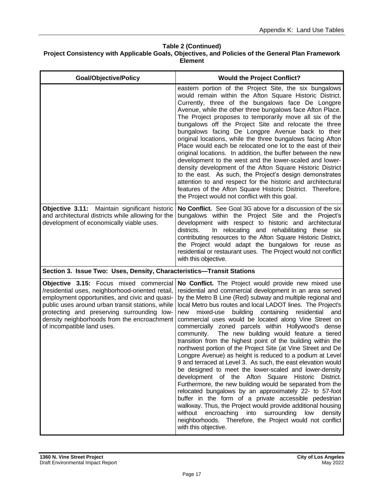| <b>Goal/Objective/Policy</b>                                                                                                                                                                                                                                                                                                | <b>Would the Project Conflict?</b>                                                                                                                                                                                                                                                                                                                                                                                                                                                                                                                                                                                                                                                                                                                                                                                                                                                                                                                                                                                                                                                                                                                                                                                                                                      |
|-----------------------------------------------------------------------------------------------------------------------------------------------------------------------------------------------------------------------------------------------------------------------------------------------------------------------------|-------------------------------------------------------------------------------------------------------------------------------------------------------------------------------------------------------------------------------------------------------------------------------------------------------------------------------------------------------------------------------------------------------------------------------------------------------------------------------------------------------------------------------------------------------------------------------------------------------------------------------------------------------------------------------------------------------------------------------------------------------------------------------------------------------------------------------------------------------------------------------------------------------------------------------------------------------------------------------------------------------------------------------------------------------------------------------------------------------------------------------------------------------------------------------------------------------------------------------------------------------------------------|
|                                                                                                                                                                                                                                                                                                                             | eastern portion of the Project Site, the six bungalows<br>would remain within the Afton Square Historic District.<br>Currently, three of the bungalows face De Longpre<br>Avenue, while the other three bungalows face Afton Place.<br>The Project proposes to temporarily move all six of the<br>bungalows off the Project Site and relocate the three<br>bungalows facing De Longpre Avenue back to their<br>original locations, while the three bungalows facing Afton<br>Place would each be relocated one lot to the east of their<br>original locations. In addition, the buffer between the new<br>development to the west and the lower-scaled and lower-<br>density development of the Afton Square Historic District<br>to the east. As such, the Project's design demonstrates<br>attention to and respect for the historic and architectural<br>features of the Afton Square Historic District. Therefore,<br>the Project would not conflict with this goal.                                                                                                                                                                                                                                                                                                |
| Objective 3.11: Maintain significant historic<br>and architectural districts while allowing for the<br>development of economically viable uses.                                                                                                                                                                             | No Conflict. See Goal 3G above for a discussion of the six<br>bungalows within the Project Site and the Project's<br>development with respect to historic and architectural<br>districts.<br>In relocating and rehabilitating these six<br>contributing resources to the Afton Square Historic District,<br>the Project would adapt the bungalows for reuse as<br>residential or restaurant uses. The Project would not conflict<br>with this objective.                                                                                                                                                                                                                                                                                                                                                                                                                                                                                                                                                                                                                                                                                                                                                                                                                |
| Section 3. Issue Two: Uses, Density, Characteristics-Transit Stations                                                                                                                                                                                                                                                       |                                                                                                                                                                                                                                                                                                                                                                                                                                                                                                                                                                                                                                                                                                                                                                                                                                                                                                                                                                                                                                                                                                                                                                                                                                                                         |
| Objective 3.15: Focus mixed commercial<br>/residential uses, neighborhood-oriented retail,<br>employment opportunities, and civic and quasi-<br>public uses around urban transit stations, while<br>protecting and preserving surrounding low-<br>density neighborhoods from the encroachment<br>of incompatible land uses. | No Conflict. The Project would provide new mixed use<br>residential and commercial development in an area served<br>by the Metro B Line (Red) subway and multiple regional and<br>local Metro bus routes and local LADOT lines. The Project's<br>mixed-use<br>containing residential<br>building<br>and<br>new<br>commercial uses would be located along Vine Street on<br>commercially zoned parcels within Hollywood's dense<br>The new building would feature a tiered<br>community.<br>transition from the highest point of the building within the<br>northwest portion of the Project Site (at Vine Street and De<br>Longpre Avenue) as height is reduced to a podium at Level<br>9 and terraced at Level 3. As such, the east elevation would<br>be designed to meet the lower-scaled and lower-density<br>development of the Afton Square Historic District.<br>Furthermore, the new building would be separated from the<br>relocated bungalows by an approximately 22- to 57-foot<br>buffer in the form of a private accessible pedestrian<br>walkway. Thus, the Project would provide additional housing<br>without<br>encroaching<br>into surrounding<br>low<br>density<br>neighborhoods. Therefore, the Project would not conflict<br>with this objective. |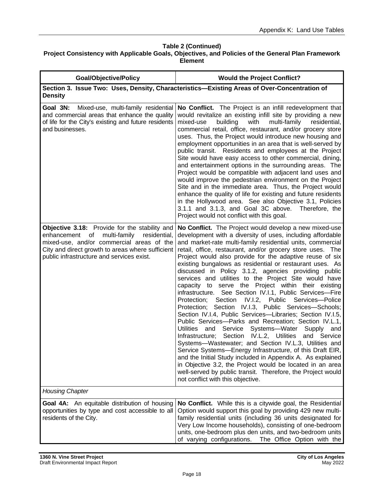| <b>Goal/Objective/Policy</b>                                                                                                                                                                                                                  | <b>Would the Project Conflict?</b>                                                                                                                                                                                                                                                                                                                                                                                                                                                                                                                                                                                                                                                                                                                                                                                                                                                                                                                                                                                                                                                                                                                                                                                                                                                                                            |
|-----------------------------------------------------------------------------------------------------------------------------------------------------------------------------------------------------------------------------------------------|-------------------------------------------------------------------------------------------------------------------------------------------------------------------------------------------------------------------------------------------------------------------------------------------------------------------------------------------------------------------------------------------------------------------------------------------------------------------------------------------------------------------------------------------------------------------------------------------------------------------------------------------------------------------------------------------------------------------------------------------------------------------------------------------------------------------------------------------------------------------------------------------------------------------------------------------------------------------------------------------------------------------------------------------------------------------------------------------------------------------------------------------------------------------------------------------------------------------------------------------------------------------------------------------------------------------------------|
| <b>Density</b>                                                                                                                                                                                                                                | Section 3. Issue Two: Uses, Density, Characteristics-Existing Areas of Over-Concentration of                                                                                                                                                                                                                                                                                                                                                                                                                                                                                                                                                                                                                                                                                                                                                                                                                                                                                                                                                                                                                                                                                                                                                                                                                                  |
| Mixed-use, multi-family residential<br>Goal 3N:<br>and commercial areas that enhance the quality<br>of life for the City's existing and future residents<br>and businesses.                                                                   | No Conflict. The Project is an infill redevelopment that<br>would revitalize an existing infill site by providing a new<br>building<br>with<br>mixed-use<br>multi-family<br>residential,<br>commercial retail, office, restaurant, and/or grocery store<br>uses. Thus, the Project would introduce new housing and<br>employment opportunities in an area that is well-served by<br>public transit. Residents and employees at the Project<br>Site would have easy access to other commercial, dining,<br>and entertainment options in the surrounding areas. The<br>Project would be compatible with adjacent land uses and<br>would improve the pedestrian environment on the Project<br>Site and in the immediate area. Thus, the Project would<br>enhance the quality of life for existing and future residents<br>in the Hollywood area. See also Objective 3.1, Policies<br>3.1.1 and 3.1.3, and Goal 3C above. Therefore, the<br>Project would not conflict with this goal.                                                                                                                                                                                                                                                                                                                                            |
| Objective 3.18: Provide for the stability and<br>enhancement of<br>multi-family<br>residential,<br>mixed-use, and/or commercial areas of the<br>City and direct growth to areas where sufficient<br>public infrastructure and services exist. | No Conflict. The Project would develop a new mixed-use<br>development with a diversity of uses, including affordable<br>and market-rate multi-family residential units, commercial<br>retail, office, restaurant, and/or grocery store uses. The<br>Project would also provide for the adaptive reuse of six<br>existing bungalows as residential or restaurant uses. As<br>discussed in Policy 3.1.2, agencies providing public<br>services and utilities to the Project Site would have<br>capacity to serve the Project within their existing<br>See Section IV.I.1, Public Services-Fire<br>infrastructure.<br>Section IV.I.2, Public Services-Police<br>Protection;<br>Protection; Section IV.I.3, Public Services-Schools;<br>Section IV.I.4, Public Services-Libraries; Section IV.I.5,<br>Public Services--- Parks and Recreation; Section IV.L.1,<br>Utilities and Service Systems-Water<br>Supply and<br>Infrastructure; Section IV.L.2, Utilities and Service<br>Systems-Wastewater; and Section IV.L.3, Utilities and<br>Service Systems-Energy Infrastructure, of this Draft EIR,<br>and the Initial Study included in Appendix A. As explained<br>in Objective 3.2, the Project would be located in an area<br>well-served by public transit. Therefore, the Project would<br>not conflict with this objective. |
| <b>Housing Chapter</b>                                                                                                                                                                                                                        |                                                                                                                                                                                                                                                                                                                                                                                                                                                                                                                                                                                                                                                                                                                                                                                                                                                                                                                                                                                                                                                                                                                                                                                                                                                                                                                               |
| <b>Goal 4A:</b> An equitable distribution of housing<br>opportunities by type and cost accessible to all<br>residents of the City.                                                                                                            | No Conflict. While this is a citywide goal, the Residential<br>Option would support this goal by providing 429 new multi-<br>family residential units (including 36 units designated for<br>Very Low Income households), consisting of one-bedroom<br>units, one-bedroom plus den units, and two-bedroom units<br>of varying configurations.<br>The Office Option with the                                                                                                                                                                                                                                                                                                                                                                                                                                                                                                                                                                                                                                                                                                                                                                                                                                                                                                                                                    |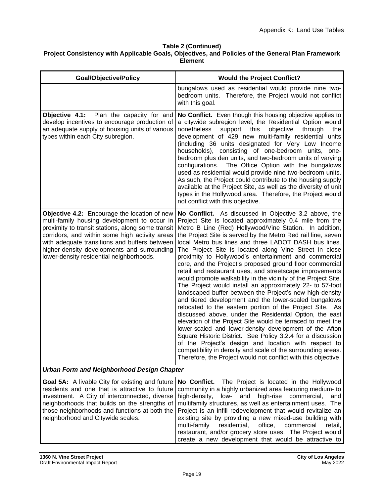| <b>Goal/Objective/Policy</b>                                                                                                                                                                                                                                                                                                                    | <b>Would the Project Conflict?</b>                                                                                                                                                                                                                                                                                                                                                                                                                                                                                                                                                                                                                                                                                                                                                                                                                                                                                                                                                                                                                                                                                                                                                                                                                                                                            |
|-------------------------------------------------------------------------------------------------------------------------------------------------------------------------------------------------------------------------------------------------------------------------------------------------------------------------------------------------|---------------------------------------------------------------------------------------------------------------------------------------------------------------------------------------------------------------------------------------------------------------------------------------------------------------------------------------------------------------------------------------------------------------------------------------------------------------------------------------------------------------------------------------------------------------------------------------------------------------------------------------------------------------------------------------------------------------------------------------------------------------------------------------------------------------------------------------------------------------------------------------------------------------------------------------------------------------------------------------------------------------------------------------------------------------------------------------------------------------------------------------------------------------------------------------------------------------------------------------------------------------------------------------------------------------|
|                                                                                                                                                                                                                                                                                                                                                 | bungalows used as residential would provide nine two-<br>bedroom units. Therefore, the Project would not conflict<br>with this goal.                                                                                                                                                                                                                                                                                                                                                                                                                                                                                                                                                                                                                                                                                                                                                                                                                                                                                                                                                                                                                                                                                                                                                                          |
| Objective 4.1: Plan the capacity for and<br>develop incentives to encourage production of<br>an adequate supply of housing units of various<br>types within each City subregion.                                                                                                                                                                | No Conflict. Even though this housing objective applies to<br>a citywide subregion level, the Residential Option would<br>nonetheless<br>support<br>this<br>objective<br>through<br>the<br>development of 429 new multi-family residential units<br>(including 36 units designated for Very Low Income<br>households), consisting of one-bedroom units, one-<br>bedroom plus den units, and two-bedroom units of varying<br>configurations. The Office Option with the bungalows<br>used as residential would provide nine two-bedroom units.<br>As such, the Project could contribute to the housing supply<br>available at the Project Site, as well as the diversity of unit<br>types in the Hollywood area. Therefore, the Project would<br>not conflict with this objective.                                                                                                                                                                                                                                                                                                                                                                                                                                                                                                                             |
| Objective 4.2: Encourage the location of new<br>multi-family housing development to occur in<br>proximity to transit stations, along some transit<br>corridors, and within some high activity areas<br>with adequate transitions and buffers between<br>higher-density developments and surrounding<br>lower-density residential neighborhoods. | No Conflict. As discussed in Objective 3.2 above, the<br>Project Site is located approximately 0.4 mile from the<br>Metro B Line (Red) Hollywood/Vine Station. In addition,<br>the Project Site is served by the Metro Red rail line, seven<br>local Metro bus lines and three LADOT DASH bus lines.<br>The Project Site is located along Vine Street in close<br>proximity to Hollywood's entertainment and commercial<br>core, and the Project's proposed ground floor commercial<br>retail and restaurant uses, and streetscape improvements<br>would promote walkability in the vicinity of the Project Site.<br>The Project would install an approximately 22- to 57-foot<br>landscaped buffer between the Project's new high-density<br>and tiered development and the lower-scaled bungalows<br>relocated to the eastern portion of the Project Site. As<br>discussed above, under the Residential Option, the east<br>elevation of the Project Site would be terraced to meet the<br>lower-scaled and lower-density development of the Afton<br>Square Historic District. See Policy 3.2.4 for a discussion<br>of the Project's design and location with respect to<br>compatibility in density and scale of the surrounding areas.<br>Therefore, the Project would not conflict with this objective. |
| <b>Urban Form and Neighborhood Design Chapter</b>                                                                                                                                                                                                                                                                                               |                                                                                                                                                                                                                                                                                                                                                                                                                                                                                                                                                                                                                                                                                                                                                                                                                                                                                                                                                                                                                                                                                                                                                                                                                                                                                                               |
| Goal 5A: A livable City for existing and future<br>residents and one that is attractive to future<br>investment. A City of interconnected, diverse<br>neighborhoods that builds on the strengths of<br>those neighborhoods and functions at both the<br>neighborhood and Citywide scales.                                                       | The Project is located in the Hollywood<br>No Conflict.<br>community in a highly urbanized area featuring medium- to<br>and<br>high-rise commercial,<br>high-density,<br>low-<br>and<br>multifamily structures, as well as entertainment uses. The<br>Project is an infill redevelopment that would revitalize an<br>existing site by providing a new mixed-use building with<br>multi-family<br>residential,<br>office,<br>commercial<br>retail,<br>restaurant, and/or grocery store uses. The Project would<br>create a new development that would be attractive to                                                                                                                                                                                                                                                                                                                                                                                                                                                                                                                                                                                                                                                                                                                                         |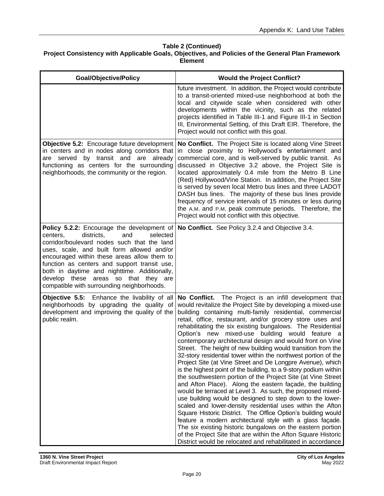| <b>Goal/Objective/Policy</b>                                                                                                                                                                                                                                                                                                                                                                                              | <b>Would the Project Conflict?</b>                                                                                                                                                                                                                                                                                                                                                                                                                                                                                                                                                                                                                                                                                                                                                                                                                                                                                                                                                                                                                                                                                                                                                                                                                                                                                                               |
|---------------------------------------------------------------------------------------------------------------------------------------------------------------------------------------------------------------------------------------------------------------------------------------------------------------------------------------------------------------------------------------------------------------------------|--------------------------------------------------------------------------------------------------------------------------------------------------------------------------------------------------------------------------------------------------------------------------------------------------------------------------------------------------------------------------------------------------------------------------------------------------------------------------------------------------------------------------------------------------------------------------------------------------------------------------------------------------------------------------------------------------------------------------------------------------------------------------------------------------------------------------------------------------------------------------------------------------------------------------------------------------------------------------------------------------------------------------------------------------------------------------------------------------------------------------------------------------------------------------------------------------------------------------------------------------------------------------------------------------------------------------------------------------|
|                                                                                                                                                                                                                                                                                                                                                                                                                           | future investment. In addition, the Project would contribute<br>to a transit-oriented mixed-use neighborhood at both the<br>local and citywide scale when considered with other<br>developments within the vicinity, such as the related<br>projects identified in Table III-1 and Figure III-1 in Section<br>III, Environmental Setting, of this Draft EIR. Therefore, the<br>Project would not conflict with this goal.                                                                                                                                                                                                                                                                                                                                                                                                                                                                                                                                                                                                                                                                                                                                                                                                                                                                                                                        |
| Objective 5.2: Encourage future development<br>in centers and in nodes along corridors that<br>are served by transit and are already<br>functioning as centers for the surrounding<br>neighborhoods, the community or the region.                                                                                                                                                                                         | No Conflict. The Project Site is located along Vine Street<br>in close proximity to Hollywood's entertainment and<br>commercial core, and is well-served by public transit. As<br>discussed in Objective 3.2 above, the Project Site is<br>located approximately 0.4 mile from the Metro B Line<br>(Red) Hollywood/Vine Station. In addition, the Project Site<br>is served by seven local Metro bus lines and three LADOT<br>DASH bus lines. The majority of these bus lines provide<br>frequency of service intervals of 15 minutes or less during<br>the A.M. and P.M. peak commute periods. Therefore, the<br>Project would not conflict with this objective.                                                                                                                                                                                                                                                                                                                                                                                                                                                                                                                                                                                                                                                                                |
| Policy 5.2.2: Encourage the development of<br>districts.<br>and<br>selected<br>centers,<br>corridor/boulevard nodes such that the land<br>uses, scale, and built form allowed and/or<br>encouraged within these areas allow them to<br>function as centers and support transit use,<br>both in daytime and nighttime. Additionally,<br>develop these areas so that they are<br>compatible with surrounding neighborhoods. | No Conflict. See Policy 3.2.4 and Objective 3.4.                                                                                                                                                                                                                                                                                                                                                                                                                                                                                                                                                                                                                                                                                                                                                                                                                                                                                                                                                                                                                                                                                                                                                                                                                                                                                                 |
| Objective 5.5: Enhance the livability of all<br>neighborhoods by upgrading the quality of<br>development and improving the quality of the<br>public realm.                                                                                                                                                                                                                                                                | No Conflict. The Project is an infill development that<br>would revitalize the Project Site by developing a mixed-use<br>building containing multi-family residential, commercial<br>retail, office, restaurant, and/or grocery store uses and<br>rehabilitating the six existing bungalows. The Residential<br>Option's new mixed-use building would feature a<br>contemporary architectural design and would front on Vine<br>Street. The height of new building would transition from the<br>32-story residential tower within the northwest portion of the<br>Project Site (at Vine Street and De Longpre Avenue), which<br>is the highest point of the building, to a 9-story podium within<br>the southwestern portion of the Project Site (at Vine Street<br>and Afton Place). Along the eastern façade, the building<br>would be terraced at Level 3. As such, the proposed mixed-<br>use building would be designed to step down to the lower-<br>scaled and lower-density residential uses within the Afton<br>Square Historic District. The Office Option's building would<br>feature a modern architectural style with a glass façade.<br>The six existing historic bungalows on the eastern portion<br>of the Project Site that are within the Afton Square Historic<br>District would be relocated and rehabilitated in accordance |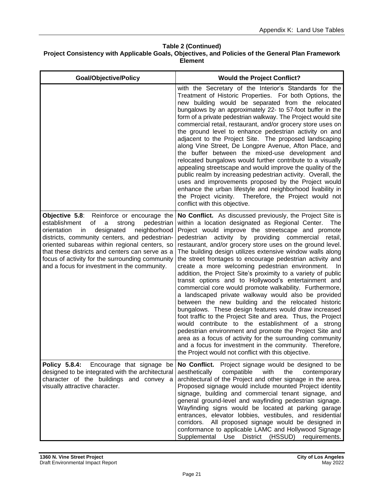| <b>Goal/Objective/Policy</b>                                                                                                                                                                                                                                                                                                                                                                                | <b>Would the Project Conflict?</b>                                                                                                                                                                                                                                                                                                                                                                                                                                                                                                                                                                                                                                                                                                                                                                                                                                                                                                                                                                                                                                                                                                                                                                                        |
|-------------------------------------------------------------------------------------------------------------------------------------------------------------------------------------------------------------------------------------------------------------------------------------------------------------------------------------------------------------------------------------------------------------|---------------------------------------------------------------------------------------------------------------------------------------------------------------------------------------------------------------------------------------------------------------------------------------------------------------------------------------------------------------------------------------------------------------------------------------------------------------------------------------------------------------------------------------------------------------------------------------------------------------------------------------------------------------------------------------------------------------------------------------------------------------------------------------------------------------------------------------------------------------------------------------------------------------------------------------------------------------------------------------------------------------------------------------------------------------------------------------------------------------------------------------------------------------------------------------------------------------------------|
|                                                                                                                                                                                                                                                                                                                                                                                                             | with the Secretary of the Interior's Standards for the<br>Treatment of Historic Properties. For both Options, the<br>new building would be separated from the relocated<br>bungalows by an approximately 22- to 57-foot buffer in the<br>form of a private pedestrian walkway. The Project would site<br>commercial retail, restaurant, and/or grocery store uses on<br>the ground level to enhance pedestrian activity on and<br>adjacent to the Project Site. The proposed landscaping<br>along Vine Street, De Longpre Avenue, Afton Place, and<br>the buffer between the mixed-use development and<br>relocated bungalows would further contribute to a visually<br>appealing streetscape and would improve the quality of the<br>public realm by increasing pedestrian activity. Overall, the<br>uses and improvements proposed by the Project would<br>enhance the urban lifestyle and neighborhood livability in<br>the Project vicinity. Therefore, the Project would not<br>conflict with this objective.                                                                                                                                                                                                        |
| Objective 5.8:<br>Reinforce or encourage the<br>establishment<br>pedestrian<br>οf<br>a<br>strong<br>orientation<br>designated<br>neighborhood<br>in<br>districts, community centers, and pedestrian-<br>oriented subareas within regional centers, so<br>that these districts and centers can serve as a<br>focus of activity for the surrounding community<br>and a focus for investment in the community. | No Conflict. As discussed previously, the Project Site is<br>within a location designated as Regional Center.<br><b>The</b><br>Project would improve the streetscape and promote<br>pedestrian activity<br>providing commercial retail,<br>by<br>restaurant, and/or grocery store uses on the ground level.<br>The building design utilizes extensive window walls along<br>the street frontages to encourage pedestrian activity and<br>create a more welcoming pedestrian environment.<br>In.<br>addition, the Project Site's proximity to a variety of public<br>transit options and to Hollywood's entertainment and<br>commercial core would promote walkability. Furthermore,<br>a landscaped private walkway would also be provided<br>between the new building and the relocated historic<br>bungalows. These design features would draw increased<br>foot traffic to the Project Site and area. Thus, the Project<br>would contribute to the establishment of a strong<br>pedestrian environment and promote the Project Site and<br>area as a focus of activity for the surrounding community<br>and a focus for investment in the community. Therefore,<br>the Project would not conflict with this objective. |
| Policy 5.8.4:<br>Encourage that signage be<br>designed to be integrated with the architectural<br>character of the buildings and convey a<br>visually attractive character.                                                                                                                                                                                                                                 | No Conflict.<br>Project signage would be designed to be<br>compatible<br>with<br>the<br>aesthetically<br>contemporary<br>architectural of the Project and other signage in the area.<br>Proposed signage would include mounted Project identity<br>signage, building and commercial tenant signage, and<br>general ground-level and wayfinding pedestrian signage.<br>Wayfinding signs would be located at parking garage<br>entrances, elevator lobbies, vestibules, and residential<br>corridors. All proposed signage would be designed in<br>conformance to applicable LAMC and Hollywood Signage<br>Supplemental<br>Use<br><b>District</b><br>(HSSUD)<br>requirements.                                                                                                                                                                                                                                                                                                                                                                                                                                                                                                                                               |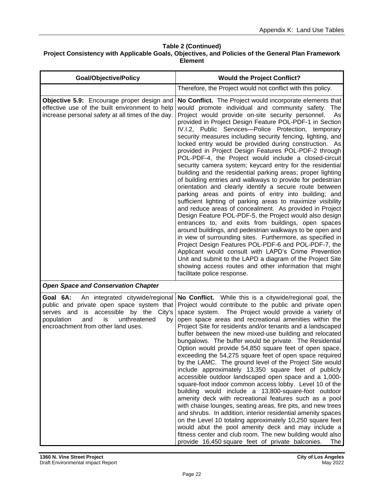| <b>Goal/Objective/Policy</b>                                                                                                                                                                                           | <b>Would the Project Conflict?</b>                                                                                                                                                                                                                                                                                                                                                                                                                                                                                                                                                                                                                                                                                                                                                                                                                                                                                                                                                                                                                                                                                                                                                                                                                                                                                                                                                                                                                                                               |
|------------------------------------------------------------------------------------------------------------------------------------------------------------------------------------------------------------------------|--------------------------------------------------------------------------------------------------------------------------------------------------------------------------------------------------------------------------------------------------------------------------------------------------------------------------------------------------------------------------------------------------------------------------------------------------------------------------------------------------------------------------------------------------------------------------------------------------------------------------------------------------------------------------------------------------------------------------------------------------------------------------------------------------------------------------------------------------------------------------------------------------------------------------------------------------------------------------------------------------------------------------------------------------------------------------------------------------------------------------------------------------------------------------------------------------------------------------------------------------------------------------------------------------------------------------------------------------------------------------------------------------------------------------------------------------------------------------------------------------|
|                                                                                                                                                                                                                        | Therefore, the Project would not conflict with this policy.                                                                                                                                                                                                                                                                                                                                                                                                                                                                                                                                                                                                                                                                                                                                                                                                                                                                                                                                                                                                                                                                                                                                                                                                                                                                                                                                                                                                                                      |
| Objective 5.9: Encourage proper design and<br>effective use of the built environment to help<br>increase personal safety at all times of the day.                                                                      | No Conflict. The Project would incorporate elements that<br>would promote individual and community safety. The<br>Project would provide on-site security personnel.<br>As<br>provided in Project Design Feature POL-PDF-1 in Section<br>IV.I.2, Public Services-Police Protection, temporary<br>security measures including security fencing, lighting, and<br>locked entry would be provided during construction. As<br>provided in Project Design Features POL-PDF-2 through<br>POL-PDF-4, the Project would include a closed-circuit<br>security camera system; keycard entry for the residential<br>building and the residential parking areas; proper lighting<br>of building entries and walkways to provide for pedestrian<br>orientation and clearly identify a secure route between<br>parking areas and points of entry into building; and<br>sufficient lighting of parking areas to maximize visibility<br>and reduce areas of concealment. As provided in Project<br>Design Feature POL-PDF-5, the Project would also design<br>entrances to, and exits from buildings, open spaces<br>around buildings, and pedestrian walkways to be open and<br>in view of surrounding sites. Furthermore, as specified in<br>Project Design Features POL-PDF-6 and POL-PDF-7, the<br>Applicant would consult with LAPD's Crime Prevention<br>Unit and submit to the LAPD a diagram of the Project Site<br>showing access routes and other information that might<br>facilitate police response. |
| <b>Open Space and Conservation Chapter</b>                                                                                                                                                                             |                                                                                                                                                                                                                                                                                                                                                                                                                                                                                                                                                                                                                                                                                                                                                                                                                                                                                                                                                                                                                                                                                                                                                                                                                                                                                                                                                                                                                                                                                                  |
| Goal 6A: An integrated citywide/regional<br>public and private open space system that<br>serves and is accessible by the City's<br>population<br>unthreatened<br>and<br>is<br>by<br>encroachment from other land uses. | No Conflict. While this is a citywide/regional goal, the<br>Project would contribute to the public and private open<br>space system. The Project would provide a variety of<br>open space areas and recreational amenities within the<br>Project Site for residents and/or tenants and a landscaped<br>buffer between the new mixed-use building and relocated<br>bungalows. The buffer would be private. The Residential<br>Option would provide 54,850 square feet of open space,<br>exceeding the 54,275 square feet of open space required<br>by the LAMC. The ground level of the Project Site would<br>include approximately 13,350 square feet of publicly<br>accessible outdoor landscaped open space and a 1,000-<br>square-foot indoor common access lobby. Level 10 of the<br>building would include a 13,800-square-foot outdoor<br>amenity deck with recreational features such as a pool<br>with chaise lounges, seating areas, fire pits, and new trees<br>and shrubs. In addition, interior residential amenity spaces<br>on the Level 10 totaling approximately 10,250 square feet<br>would abut the pool amenity deck and may include a<br>fitness center and club room. The new building would also<br>provide 16,450 square feet of private balconies.<br>The                                                                                                                                                                                                                |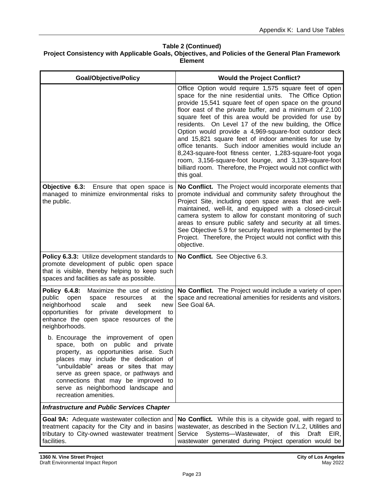| <b>Goal/Objective/Policy</b>                                                                                                                                                                                                                                                                                                                         | <b>Would the Project Conflict?</b>                                                                                                                                                                                                                                                                                                                                                                                                                                                                                                                                                                                                                                                                                                        |
|------------------------------------------------------------------------------------------------------------------------------------------------------------------------------------------------------------------------------------------------------------------------------------------------------------------------------------------------------|-------------------------------------------------------------------------------------------------------------------------------------------------------------------------------------------------------------------------------------------------------------------------------------------------------------------------------------------------------------------------------------------------------------------------------------------------------------------------------------------------------------------------------------------------------------------------------------------------------------------------------------------------------------------------------------------------------------------------------------------|
|                                                                                                                                                                                                                                                                                                                                                      | Office Option would require 1,575 square feet of open<br>space for the nine residential units. The Office Option<br>provide 15,541 square feet of open space on the ground<br>floor east of the private buffer, and a minimum of 2,100<br>square feet of this area would be provided for use by<br>residents. On Level 17 of the new building, the Office<br>Option would provide a 4,969-square-foot outdoor deck<br>and 15,821 square feet of indoor amenities for use by<br>office tenants. Such indoor amenities would include an<br>8,243-square-foot fitness center, 1,283-square-foot yoga<br>room, 3,156-square-foot lounge, and 3,139-square-foot<br>billiard room. Therefore, the Project would not conflict with<br>this goal. |
| <b>Objective 6.3:</b> Ensure that open space is<br>managed to minimize environmental risks to<br>the public.                                                                                                                                                                                                                                         | No Conflict. The Project would incorporate elements that<br>promote individual and community safety throughout the<br>Project Site, including open space areas that are well-<br>maintained, well-lit, and equipped with a closed-circuit<br>camera system to allow for constant monitoring of such<br>areas to ensure public safety and security at all times.<br>See Objective 5.9 for security features implemented by the<br>Project. Therefore, the Project would not conflict with this<br>objective.                                                                                                                                                                                                                               |
| Policy 6.3.3: Utilize development standards to<br>promote development of public open space<br>that is visible, thereby helping to keep such<br>spaces and facilities as safe as possible.                                                                                                                                                            | No Conflict. See Objective 6.3.                                                                                                                                                                                                                                                                                                                                                                                                                                                                                                                                                                                                                                                                                                           |
| Policy 6.4.8:<br>Maximize the use of existing<br>public<br>the<br>open<br>space<br>resources<br>at<br>neighborhood<br>seek<br>scale<br>new<br>and<br>for private development<br>opportunities<br>to<br>enhance the open space resources of the<br>neighborhoods.                                                                                     | No Conflict. The Project would include a variety of open<br>space and recreational amenities for residents and visitors.<br>See Goal 6A.                                                                                                                                                                                                                                                                                                                                                                                                                                                                                                                                                                                                  |
| b. Encourage the improvement of open<br>space, both on public and private<br>property, as opportunities arise. Such<br>places may include the dedication of<br>"unbuildable" areas or sites that may<br>serve as green space, or pathways and<br>connections that may be improved to<br>serve as neighborhood landscape and<br>recreation amenities. |                                                                                                                                                                                                                                                                                                                                                                                                                                                                                                                                                                                                                                                                                                                                           |
| <b>Infrastructure and Public Services Chapter</b>                                                                                                                                                                                                                                                                                                    |                                                                                                                                                                                                                                                                                                                                                                                                                                                                                                                                                                                                                                                                                                                                           |
| Goal 9A: Adequate wastewater collection and<br>treatment capacity for the City and in basins<br>tributary to City-owned wastewater treatment<br>facilities.                                                                                                                                                                                          | No Conflict. While this is a citywide goal, with regard to<br>wastewater, as described in the Section IV.L.2, Utilities and<br>Service<br>Systems-Wastewater, of this<br><b>Draft</b><br>EIR.<br>wastewater generated during Project operation would be                                                                                                                                                                                                                                                                                                                                                                                                                                                                                   |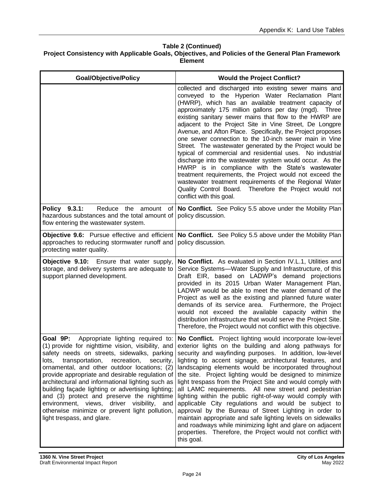| <b>Goal/Objective/Policy</b>                                                                                                                                                                                                                                                                                                                                                                                                                                                                                                                                                                      | <b>Would the Project Conflict?</b>                                                                                                                                                                                                                                                                                                                                                                                                                                                                                                                                                                                                                                                                                                                                                                                                                                                                                                 |
|---------------------------------------------------------------------------------------------------------------------------------------------------------------------------------------------------------------------------------------------------------------------------------------------------------------------------------------------------------------------------------------------------------------------------------------------------------------------------------------------------------------------------------------------------------------------------------------------------|------------------------------------------------------------------------------------------------------------------------------------------------------------------------------------------------------------------------------------------------------------------------------------------------------------------------------------------------------------------------------------------------------------------------------------------------------------------------------------------------------------------------------------------------------------------------------------------------------------------------------------------------------------------------------------------------------------------------------------------------------------------------------------------------------------------------------------------------------------------------------------------------------------------------------------|
|                                                                                                                                                                                                                                                                                                                                                                                                                                                                                                                                                                                                   | collected and discharged into existing sewer mains and<br>conveyed to the Hyperion Water Reclamation Plant<br>(HWRP), which has an available treatment capacity of<br>approximately 175 million gallons per day (mgd). Three<br>existing sanitary sewer mains that flow to the HWRP are<br>adjacent to the Project Site in Vine Street, De Longpre<br>Avenue, and Afton Place. Specifically, the Project proposes<br>one sewer connection to the 10-inch sewer main in Vine<br>Street. The wastewater generated by the Project would be<br>typical of commercial and residential uses. No industrial<br>discharge into the wastewater system would occur. As the<br>HWRP is in compliance with the State's wastewater<br>treatment requirements, the Project would not exceed the<br>wastewater treatment requirements of the Regional Water<br>Quality Control Board. Therefore the Project would not<br>conflict with this goal. |
| Policy 9.3.1:<br>Reduce the amount<br>hazardous substances and the total amount of<br>flow entering the wastewater system.                                                                                                                                                                                                                                                                                                                                                                                                                                                                        | of   No Conflict. See Policy 5.5 above under the Mobility Plan<br>policy discussion.                                                                                                                                                                                                                                                                                                                                                                                                                                                                                                                                                                                                                                                                                                                                                                                                                                               |
| Objective 9.6: Pursue effective and efficient<br>approaches to reducing stormwater runoff and<br>protecting water quality.                                                                                                                                                                                                                                                                                                                                                                                                                                                                        | No Conflict. See Policy 5.5 above under the Mobility Plan<br>policy discussion.                                                                                                                                                                                                                                                                                                                                                                                                                                                                                                                                                                                                                                                                                                                                                                                                                                                    |
| Objective 9.10: Ensure that water supply,<br>storage, and delivery systems are adequate to<br>support planned development.                                                                                                                                                                                                                                                                                                                                                                                                                                                                        | No Conflict. As evaluated in Section IV.L.1, Utilities and<br>Service Systems-Water Supply and Infrastructure, of this<br>Draft EIR, based on LADWP's demand projections<br>provided in its 2015 Urban Water Management Plan,<br>LADWP would be able to meet the water demand of the<br>Project as well as the existing and planned future water<br>demands of its service area. Furthermore, the Project<br>would not exceed the available capacity within the<br>distribution infrastructure that would serve the Project Site.<br>Therefore, the Project would not conflict with this objective.                                                                                                                                                                                                                                                                                                                                |
| Goal 9P:<br>Appropriate lighting required to:<br>(1) provide for nighttime vision, visibility, and<br>safety needs on streets, sidewalks, parking<br>transportation,<br>recreation,<br>lots,<br>security,<br>ornamental, and other outdoor locations; (2)<br>provide appropriate and desirable regulation of<br>architectural and informational lighting such as<br>building façade lighting or advertising lighting;<br>and (3) protect and preserve the nighttime<br>environment, views, driver visibility, and<br>otherwise minimize or prevent light pollution,<br>light trespass, and glare. | No Conflict. Project lighting would incorporate low-level<br>exterior lights on the building and along pathways for<br>security and wayfinding purposes. In addition, low-level<br>lighting to accent signage, architectural features, and<br>landscaping elements would be incorporated throughout<br>the site. Project lighting would be designed to minimize<br>light trespass from the Project Site and would comply with<br>all LAMC requirements. All new street and pedestrian<br>lighting within the public right-of-way would comply with<br>applicable City regulations and would be subject to<br>approval by the Bureau of Street Lighting in order to<br>maintain appropriate and safe lighting levels on sidewalks<br>and roadways while minimizing light and glare on adjacent<br>properties. Therefore, the Project would not conflict with<br>this goal.                                                          |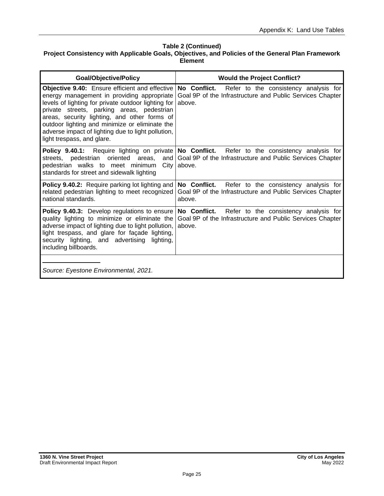| <b>Goal/Objective/Policy</b>                                                                                                                                                                                                                                                                                                                                                                   | <b>Would the Project Conflict?</b>                                                                                           |
|------------------------------------------------------------------------------------------------------------------------------------------------------------------------------------------------------------------------------------------------------------------------------------------------------------------------------------------------------------------------------------------------|------------------------------------------------------------------------------------------------------------------------------|
| <b>Objective 9.40:</b> Ensure efficient and effective<br>energy management in providing appropriate<br>levels of lighting for private outdoor lighting for<br>private streets, parking areas, pedestrian<br>areas, security lighting, and other forms of<br>outdoor lighting and minimize or eliminate the<br>adverse impact of lighting due to light pollution,<br>light trespass, and glare. | No Conflict.<br>Refer to the consistency analysis for<br>Goal 9P of the Infrastructure and Public Services Chapter<br>above. |
| <b>Policy 9.40.1:</b> Require lighting on private No Conflict.<br>streets, pedestrian oriented areas, and<br>pedestrian walks to meet minimum<br>City<br>standards for street and sidewalk lighting                                                                                                                                                                                            | Refer to the consistency analysis for<br>Goal 9P of the Infrastructure and Public Services Chapter<br>above.                 |
| Policy 9.40.2: Require parking lot lighting and<br>related pedestrian lighting to meet recognized<br>national standards.                                                                                                                                                                                                                                                                       | No Conflict. Refer to the consistency analysis for<br>Goal 9P of the Infrastructure and Public Services Chapter<br>above.    |
| Policy 9.40.3: Develop regulations to ensure<br>quality lighting to minimize or eliminate the<br>adverse impact of lighting due to light pollution,<br>light trespass, and glare for façade lighting,<br>security lighting, and advertising lighting,<br>including billboards.                                                                                                                 | No Conflict.<br>Refer to the consistency analysis for<br>Goal 9P of the Infrastructure and Public Services Chapter<br>above. |
| Source: Eyestone Environmental, 2021.                                                                                                                                                                                                                                                                                                                                                          |                                                                                                                              |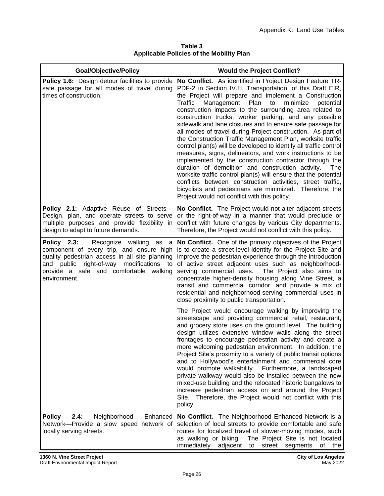| <b>Goal/Objective/Policy</b>                                                                                                                                                                                                                 | <b>Would the Project Conflict?</b>                                                                                                                                                                                                                                                                                                                                                                                                                                                                                                                                                                                                                                                                                                                                                                                                                                                                                                                                                                                                                                |
|----------------------------------------------------------------------------------------------------------------------------------------------------------------------------------------------------------------------------------------------|-------------------------------------------------------------------------------------------------------------------------------------------------------------------------------------------------------------------------------------------------------------------------------------------------------------------------------------------------------------------------------------------------------------------------------------------------------------------------------------------------------------------------------------------------------------------------------------------------------------------------------------------------------------------------------------------------------------------------------------------------------------------------------------------------------------------------------------------------------------------------------------------------------------------------------------------------------------------------------------------------------------------------------------------------------------------|
| Policy 1.6: Design detour facilities to provide<br>safe passage for all modes of travel during<br>times of construction.                                                                                                                     | No Conflict. As identified in Project Design Feature TR-<br>PDF-2 in Section IV.H, Transportation, of this Draft EIR,<br>the Project will prepare and implement a Construction<br>Management<br>Plan<br>minimize<br>Traffic<br>to<br>potential<br>construction impacts to the surrounding area related to<br>construction trucks, worker parking, and any possible<br>sidewalk and lane closures and to ensure safe passage for<br>all modes of travel during Project construction. As part of<br>the Construction Traffic Management Plan, worksite traffic<br>control plan(s) will be developed to identify all traffic control<br>measures, signs, delineators, and work instructions to be<br>implemented by the construction contractor through the<br>duration of demolition and construction activity.<br>The<br>worksite traffic control plan(s) will ensure that the potential<br>conflicts between construction activities, street traffic,<br>bicyclists and pedestrians are minimized. Therefore, the<br>Project would not conflict with this policy. |
| <b>Policy 2.1:</b> Adaptive Reuse of Streets-<br>Design, plan, and operate streets to serve<br>multiple purposes and provide flexibility in<br>design to adapt to future demands.                                                            | No Conflict. The Project would not alter adjacent streets<br>or the right-of-way in a manner that would preclude or<br>conflict with future changes by various City departments.<br>Therefore, the Project would not conflict with this policy.                                                                                                                                                                                                                                                                                                                                                                                                                                                                                                                                                                                                                                                                                                                                                                                                                   |
| Recognize walking as a<br>Policy 2.3:<br>component of every trip, and ensure high<br>quality pedestrian access in all site planning<br>and public right-of-way modifications<br>to<br>provide a safe and comfortable walking<br>environment. | No Conflict. One of the primary objectives of the Project<br>is to create a street-level identity for the Project Site and<br>improve the pedestrian experience through the introduction<br>of active street adjacent uses such as neighborhood-<br>The Project also aims to<br>serving commercial uses.<br>concentrate higher-density housing along Vine Street, a<br>transit and commercial corridor, and provide a mix of<br>residential and neighborhood-serving commercial uses in<br>close proximity to public transportation.                                                                                                                                                                                                                                                                                                                                                                                                                                                                                                                              |
|                                                                                                                                                                                                                                              | The Project would encourage walking by improving the<br>streetscape and providing commercial retail, restaurant,<br>and grocery store uses on the ground level. The building<br>design utilizes extensive window walls along the street<br>frontages to encourage pedestrian activity and create a<br>more welcoming pedestrian environment. In addition, the<br>Project Site's proximity to a variety of public transit options<br>and to Hollywood's entertainment and commercial core<br>would promote walkability. Furthermore, a landscaped<br>private walkway would also be installed between the new<br>mixed-use building and the relocated historic bungalows to<br>increase pedestrian access on and around the Project<br>Site. Therefore, the Project would not conflict with this<br>policy.                                                                                                                                                                                                                                                         |
| 2.4:<br>Neighborhood<br>Enhanced<br><b>Policy</b><br>Network-Provide a slow speed network of<br>locally serving streets.                                                                                                                     | No Conflict. The Neighborhood Enhanced Network is a<br>selection of local streets to provide comfortable and safe<br>routes for localized travel of slower-moving modes, such<br>The Project Site is not located<br>as walking or biking.<br>immediately<br>adjacent<br>street<br>segments<br>of<br>to<br>the                                                                                                                                                                                                                                                                                                                                                                                                                                                                                                                                                                                                                                                                                                                                                     |

**Table 3 Applicable Policies of the Mobility Plan**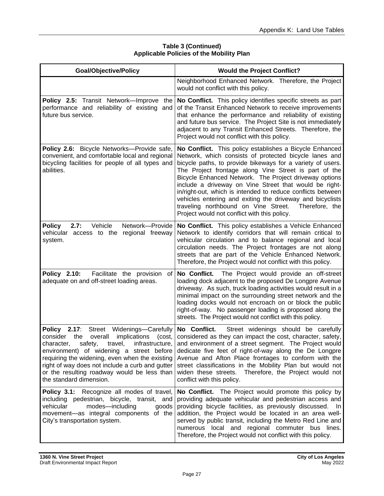| <b>Goal/Objective/Policy</b>                                                                                                                                                                                                                                                                                                                                                    | <b>Would the Project Conflict?</b>                                                                                                                                                                                                                                                                                                                                                                                                                                                                                                                                                                 |
|---------------------------------------------------------------------------------------------------------------------------------------------------------------------------------------------------------------------------------------------------------------------------------------------------------------------------------------------------------------------------------|----------------------------------------------------------------------------------------------------------------------------------------------------------------------------------------------------------------------------------------------------------------------------------------------------------------------------------------------------------------------------------------------------------------------------------------------------------------------------------------------------------------------------------------------------------------------------------------------------|
|                                                                                                                                                                                                                                                                                                                                                                                 | Neighborhood Enhanced Network. Therefore, the Project<br>would not conflict with this policy.                                                                                                                                                                                                                                                                                                                                                                                                                                                                                                      |
| Policy 2.5: Transit Network-Improve the<br>performance and reliability of existing and<br>future bus service.                                                                                                                                                                                                                                                                   | No Conflict. This policy identifies specific streets as part<br>of the Transit Enhanced Network to receive improvements<br>that enhance the performance and reliability of existing<br>and future bus service. The Project Site is not immediately<br>adjacent to any Transit Enhanced Streets. Therefore, the<br>Project would not conflict with this policy.                                                                                                                                                                                                                                     |
| Policy 2.6: Bicycle Networks-Provide safe,<br>convenient, and comfortable local and regional<br>bicycling facilities for people of all types and<br>abilities.                                                                                                                                                                                                                  | No Conflict. This policy establishes a Bicycle Enhanced<br>Network, which consists of protected bicycle lanes and<br>bicycle paths, to provide bikeways for a variety of users.<br>The Project frontage along Vine Street is part of the<br>Bicycle Enhanced Network. The Project driveway options<br>include a driveway on Vine Street that would be right-<br>in/right-out, which is intended to reduce conflicts between<br>vehicles entering and exiting the driveway and bicyclists<br>traveling northbound on Vine Street.<br>Therefore, the<br>Project would not conflict with this policy. |
| 2.7:<br>Vehicle<br>Network-Provide<br><b>Policy</b><br>vehicular access to the regional freeway<br>system.                                                                                                                                                                                                                                                                      | No Conflict. This policy establishes a Vehicle Enhanced<br>Network to identify corridors that will remain critical to<br>vehicular circulation and to balance regional and local<br>circulation needs. The Project frontages are not along<br>streets that are part of the Vehicle Enhanced Network.<br>Therefore, the Project would not conflict with this policy.                                                                                                                                                                                                                                |
| <b>Policy 2.10:</b><br>Facilitate the provision<br>of<br>adequate on and off-street loading areas.                                                                                                                                                                                                                                                                              | No Conflict.<br>The Project would provide an off-street<br>loading dock adjacent to the proposed De Longpre Avenue<br>driveway. As such, truck loading activities would result in a<br>minimal impact on the surrounding street network and the<br>loading docks would not encroach on or block the public<br>right-of-way. No passenger loading is proposed along the<br>streets. The Project would not conflict with this policy.                                                                                                                                                                |
| <b>Policy 2.17:</b><br>Street Widenings-Carefully<br>consider the<br>implications<br>overall<br>(cost,<br>character, safety, travel, infrastructure,<br>environment) of widening a street before<br>requiring the widening, even when the existing<br>right of way does not include a curb and gutter<br>or the resulting roadway would be less than<br>the standard dimension. | No Conflict.<br>Street widenings should be carefully<br>considered as they can impact the cost, character, safety,<br>and environment of a street segment. The Project would<br>dedicate five feet of right-of-way along the De Longpre<br>Avenue and Afton Place frontages to conform with the<br>street classifications in the Mobility Plan but would not<br>widen these streets. Therefore, the Project would not<br>conflict with this policy.                                                                                                                                                |
| Policy 3.1: Recognize all modes of travel,<br>including pedestrian, bicycle, transit, and<br>vehicular<br>modes-including<br>goods<br>movement-as integral components of the<br>City's transportation system.                                                                                                                                                                   | No Conflict. The Project would promote this policy by<br>providing adequate vehicular and pedestrian access and<br>providing bicycle facilities, as previously discussed.<br>In.<br>addition, the Project would be located in an area well-<br>served by public transit, including the Metro Red Line and<br>numerous local and regional commuter bus lines.<br>Therefore, the Project would not conflict with this policy.                                                                                                                                                                        |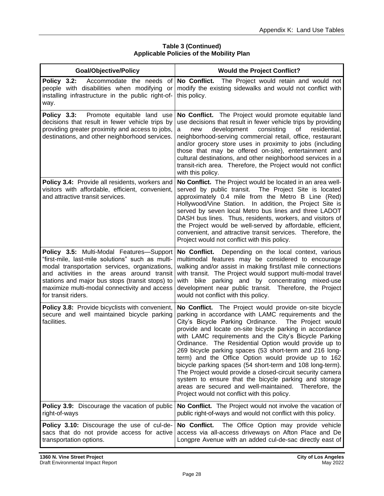| <b>Goal/Objective/Policy</b>                                                                                                                                                                                                                                                                                          | <b>Would the Project Conflict?</b>                                                                                                                                                                                                                                                                                                                                                                                                                                                                                                                                                                                                                                                                                                                                 |
|-----------------------------------------------------------------------------------------------------------------------------------------------------------------------------------------------------------------------------------------------------------------------------------------------------------------------|--------------------------------------------------------------------------------------------------------------------------------------------------------------------------------------------------------------------------------------------------------------------------------------------------------------------------------------------------------------------------------------------------------------------------------------------------------------------------------------------------------------------------------------------------------------------------------------------------------------------------------------------------------------------------------------------------------------------------------------------------------------------|
| Policy 3.2:<br>Accommodate the needs of<br>people with disabilities when modifying or<br>installing infrastructure in the public right-of-<br>way.                                                                                                                                                                    | No Conflict.<br>The Project would retain and would not<br>modify the existing sidewalks and would not conflict with<br>this policy.                                                                                                                                                                                                                                                                                                                                                                                                                                                                                                                                                                                                                                |
| <b>Policy 3.3:</b> Promote equitable land use<br>decisions that result in fewer vehicle trips by<br>providing greater proximity and access to jobs,<br>destinations, and other neighborhood services.                                                                                                                 | No Conflict. The Project would promote equitable land<br>use decisions that result in fewer vehicle trips by providing<br>development<br>consisting<br>οf<br>residential,<br>new<br>a<br>neighborhood-serving commercial retail, office, restaurant<br>and/or grocery store uses in proximity to jobs (including<br>those that may be offered on-site), entertainment and<br>cultural destinations, and other neighborhood services in a<br>transit-rich area. Therefore, the Project would not conflict<br>with this policy.                                                                                                                                                                                                                                      |
| Policy 3.4: Provide all residents, workers and<br>visitors with affordable, efficient, convenient,<br>and attractive transit services.                                                                                                                                                                                | No Conflict. The Project would be located in an area well-<br>served by public transit. The Project Site is located<br>approximately 0.4 mile from the Metro B Line (Red)<br>Hollywood/Vine Station. In addition, the Project Site is<br>served by seven local Metro bus lines and three LADOT<br>DASH bus lines. Thus, residents, workers, and visitors of<br>the Project would be well-served by affordable, efficient,<br>convenient, and attractive transit services. Therefore, the<br>Project would not conflict with this policy.                                                                                                                                                                                                                           |
| Policy 3.5: Multi-Modal Features-Support<br>"first-mile, last-mile solutions" such as multi-<br>modal transportation services, organizations,<br>and activities in the areas around transit<br>stations and major bus stops (transit stops) to<br>maximize multi-modal connectivity and access<br>for transit riders. | No Conflict. Depending on the local context, various<br>multimodal features may be considered to encourage<br>walking and/or assist in making first/last mile connections<br>with transit. The Project would support multi-modal travel<br>with bike parking and by concentrating mixed-use<br>development near public transit. Therefore, the Project<br>would not conflict with this policy.                                                                                                                                                                                                                                                                                                                                                                     |
| Policy 3.8: Provide bicyclists with convenient,<br>secure and well maintained bicycle parking<br>facilities.                                                                                                                                                                                                          | No Conflict. The Project would provide on-site bicycle<br>parking in accordance with LAMC requirements and the<br>City's Bicycle Parking Ordinance. The Project would<br>provide and locate on-site bicycle parking in accordance<br>with LAMC requirements and the City's Bicycle Parking<br>Ordinance. The Residential Option would provide up to<br>269 bicycle parking spaces (53 short-term and 216 long-<br>term) and the Office Option would provide up to 162<br>bicycle parking spaces (54 short-term and 108 long-term).<br>The Project would provide a closed-circuit security camera<br>system to ensure that the bicycle parking and storage<br>areas are secured and well-maintained. Therefore, the<br>Project would not conflict with this policy. |
| Policy 3.9: Discourage the vacation of public<br>right-of-ways                                                                                                                                                                                                                                                        | No Conflict. The Project would not involve the vacation of<br>public right-of-ways and would not conflict with this policy.                                                                                                                                                                                                                                                                                                                                                                                                                                                                                                                                                                                                                                        |
| Policy 3.10: Discourage the use of cul-de-<br>sacs that do not provide access for active<br>transportation options.                                                                                                                                                                                                   | No Conflict.<br>The Office Option may provide vehicle<br>access via all-access driveways on Afton Place and De<br>Longpre Avenue with an added cul-de-sac directly east of                                                                                                                                                                                                                                                                                                                                                                                                                                                                                                                                                                                         |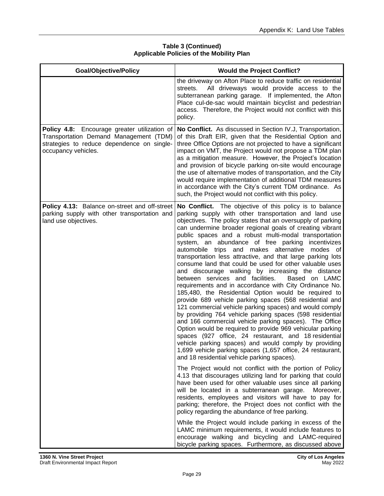| <b>Goal/Objective/Policy</b>                                                                                                                                | <b>Would the Project Conflict?</b>                                                                                                                                                                                                                                                                                                                                                                                                                                                                                                                                                                                                                                                                                                                                                                                                                                                                                                                                                                                                                                                                                                                                                                                                                                                                            |
|-------------------------------------------------------------------------------------------------------------------------------------------------------------|---------------------------------------------------------------------------------------------------------------------------------------------------------------------------------------------------------------------------------------------------------------------------------------------------------------------------------------------------------------------------------------------------------------------------------------------------------------------------------------------------------------------------------------------------------------------------------------------------------------------------------------------------------------------------------------------------------------------------------------------------------------------------------------------------------------------------------------------------------------------------------------------------------------------------------------------------------------------------------------------------------------------------------------------------------------------------------------------------------------------------------------------------------------------------------------------------------------------------------------------------------------------------------------------------------------|
|                                                                                                                                                             | the driveway on Afton Place to reduce traffic on residential<br>All driveways would provide access to the<br>streets.<br>subterranean parking garage. If implemented, the Afton<br>Place cul-de-sac would maintain bicyclist and pedestrian<br>access. Therefore, the Project would not conflict with this<br>policy.                                                                                                                                                                                                                                                                                                                                                                                                                                                                                                                                                                                                                                                                                                                                                                                                                                                                                                                                                                                         |
| Policy 4.8: Encourage greater utilization of<br>Transportation Demand Management (TDM)<br>strategies to reduce dependence on single-<br>occupancy vehicles. | No Conflict. As discussed in Section IV.J, Transportation,<br>of this Draft EIR, given that the Residential Option and<br>three Office Options are not projected to have a significant<br>impact on VMT, the Project would not propose a TDM plan<br>as a mitigation measure. However, the Project's location<br>and provision of bicycle parking on-site would encourage<br>the use of alternative modes of transportation, and the City<br>would require implementation of additional TDM measures<br>in accordance with the City's current TDM ordinance. As<br>such, the Project would not conflict with this policy.                                                                                                                                                                                                                                                                                                                                                                                                                                                                                                                                                                                                                                                                                     |
| Policy 4.13: Balance on-street and off-street<br>parking supply with other transportation and<br>land use objectives.                                       | No Conflict. The objective of this policy is to balance<br>parking supply with other transportation and land use<br>objectives. The policy states that an oversupply of parking<br>can undermine broader regional goals of creating vibrant<br>public spaces and a robust multi-modal transportation<br>system, an abundance of free parking<br>incentivizes<br>automobile trips and makes alternative modes of<br>transportation less attractive, and that large parking lots<br>consume land that could be used for other valuable uses<br>and discourage walking by increasing the distance<br>between services and facilities.<br>Based on LAMC<br>requirements and in accordance with City Ordinance No.<br>185,480, the Residential Option would be required to<br>provide 689 vehicle parking spaces (568 residential and<br>121 commercial vehicle parking spaces) and would comply<br>by providing 764 vehicle parking spaces (598 residential<br>and 166 commercial vehicle parking spaces). The Office<br>Option would be required to provide 969 vehicular parking<br>spaces (927 office, 24 restaurant, and 18 residential<br>vehicle parking spaces) and would comply by providing<br>1,699 vehicle parking spaces (1,657 office, 24 restaurant,<br>and 18 residential vehicle parking spaces). |
|                                                                                                                                                             | The Project would not conflict with the portion of Policy<br>4.13 that discourages utilizing land for parking that could<br>have been used for other valuable uses since all parking<br>will be located in a subterranean garage.<br>Moreover,<br>residents, employees and visitors will have to pay for<br>parking; therefore, the Project does not conflict with the<br>policy regarding the abundance of free parking.                                                                                                                                                                                                                                                                                                                                                                                                                                                                                                                                                                                                                                                                                                                                                                                                                                                                                     |
|                                                                                                                                                             | While the Project would include parking in excess of the<br>LAMC minimum requirements, it would include features to<br>encourage walking and bicycling and LAMC-required<br>bicycle parking spaces. Furthermore, as discussed above                                                                                                                                                                                                                                                                                                                                                                                                                                                                                                                                                                                                                                                                                                                                                                                                                                                                                                                                                                                                                                                                           |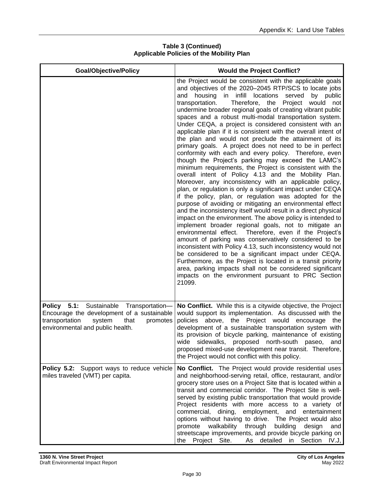| <b>Goal/Objective/Policy</b>                                                                                                                                              | <b>Would the Project Conflict?</b>                                                                                                                                                                                                                                                                                                                                                                                                                                                                                                                                                                                                                                                                                                                                                                                                                                                                                                                                                                                                                                                                                                                                                                                                                                                                                                                                                                                                                                                                                                                                                                                                                                                                                                           |
|---------------------------------------------------------------------------------------------------------------------------------------------------------------------------|----------------------------------------------------------------------------------------------------------------------------------------------------------------------------------------------------------------------------------------------------------------------------------------------------------------------------------------------------------------------------------------------------------------------------------------------------------------------------------------------------------------------------------------------------------------------------------------------------------------------------------------------------------------------------------------------------------------------------------------------------------------------------------------------------------------------------------------------------------------------------------------------------------------------------------------------------------------------------------------------------------------------------------------------------------------------------------------------------------------------------------------------------------------------------------------------------------------------------------------------------------------------------------------------------------------------------------------------------------------------------------------------------------------------------------------------------------------------------------------------------------------------------------------------------------------------------------------------------------------------------------------------------------------------------------------------------------------------------------------------|
|                                                                                                                                                                           | the Project would be consistent with the applicable goals<br>and objectives of the 2020-2045 RTP/SCS to locate jobs<br>housing<br>in infill locations<br>served<br>and<br>by public<br>transportation.<br>Therefore, the<br>Project would<br>not<br>undermine broader regional goals of creating vibrant public<br>spaces and a robust multi-modal transportation system.<br>Under CEQA, a project is considered consistent with an<br>applicable plan if it is consistent with the overall intent of<br>the plan and would not preclude the attainment of its<br>primary goals. A project does not need to be in perfect<br>conformity with each and every policy. Therefore, even<br>though the Project's parking may exceed the LAMC's<br>minimum requirements, the Project is consistent with the<br>overall intent of Policy 4.13 and the Mobility Plan.<br>Moreover, any inconsistency with an applicable policy,<br>plan, or regulation is only a significant impact under CEQA<br>if the policy, plan, or regulation was adopted for the<br>purpose of avoiding or mitigating an environmental effect<br>and the inconsistency itself would result in a direct physical<br>impact on the environment. The above policy is intended to<br>implement broader regional goals, not to mitigate an<br>environmental effect. Therefore, even if the Project's<br>amount of parking was conservatively considered to be<br>inconsistent with Policy 4.13, such inconsistency would not<br>be considered to be a significant impact under CEQA.<br>Furthermore, as the Project is located in a transit priority<br>area, parking impacts shall not be considered significant<br>impacts on the environment pursuant to PRC Section<br>21099. |
| Policy 5.1: Sustainable Transportation-<br>Encourage the development of a sustainable<br>transportation<br>system<br>that<br>promotes<br>environmental and public health. | No Conflict. While this is a citywide objective, the Project<br>would support its implementation. As discussed with the<br>policies above, the Project would<br>encourage<br>the<br>development of a sustainable transportation system with<br>its provision of bicycle parking, maintenance of existing<br>wide<br>sidewalks, proposed north-south<br>and<br>paseo,<br>proposed mixed-use development near transit. Therefore,<br>the Project would not conflict with this policy.                                                                                                                                                                                                                                                                                                                                                                                                                                                                                                                                                                                                                                                                                                                                                                                                                                                                                                                                                                                                                                                                                                                                                                                                                                                          |
| <b>Policy 5.2:</b> Support ways to reduce vehicle<br>miles traveled (VMT) per capita.                                                                                     | No Conflict. The Project would provide residential uses<br>and neighborhood-serving retail, office, restaurant, and/or<br>grocery store uses on a Project Site that is located within a<br>transit and commercial corridor. The Project Site is well-<br>served by existing public transportation that would provide<br>Project residents with more access to a variety of<br>commercial, dining, employment, and entertainment<br>options without having to drive. The Project would also<br>walkability through<br>building<br>promote<br>design<br>and<br>streetscape improvements, and provide bicycle parking on<br>Project Site.<br>As detailed<br>in Section IV.J,<br>the                                                                                                                                                                                                                                                                                                                                                                                                                                                                                                                                                                                                                                                                                                                                                                                                                                                                                                                                                                                                                                                             |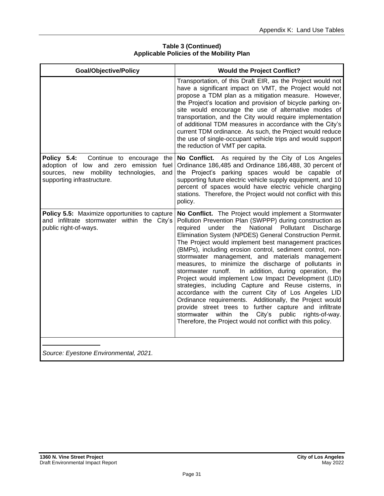| <b>Goal/Objective/Policy</b>                                                                                                                                           | <b>Would the Project Conflict?</b>                                                                                                                                                                                                                                                                                                                                                                                                                                                                                                                                                                                                                                                                                                                                                                                                                                                                                                                                 |
|------------------------------------------------------------------------------------------------------------------------------------------------------------------------|--------------------------------------------------------------------------------------------------------------------------------------------------------------------------------------------------------------------------------------------------------------------------------------------------------------------------------------------------------------------------------------------------------------------------------------------------------------------------------------------------------------------------------------------------------------------------------------------------------------------------------------------------------------------------------------------------------------------------------------------------------------------------------------------------------------------------------------------------------------------------------------------------------------------------------------------------------------------|
|                                                                                                                                                                        | Transportation, of this Draft EIR, as the Project would not<br>have a significant impact on VMT, the Project would not<br>propose a TDM plan as a mitigation measure. However,<br>the Project's location and provision of bicycle parking on-<br>site would encourage the use of alternative modes of<br>transportation, and the City would require implementation<br>of additional TDM measures in accordance with the City's<br>current TDM ordinance. As such, the Project would reduce<br>the use of single-occupant vehicle trips and would support<br>the reduction of VMT per capita.                                                                                                                                                                                                                                                                                                                                                                       |
| Policy 5.4:<br>Continue to encourage<br>the I<br>adoption of low and zero emission<br>fuel<br>sources, new mobility technologies,<br>and<br>supporting infrastructure. | No Conflict. As required by the City of Los Angeles<br>Ordinance 186,485 and Ordinance 186,488, 30 percent of<br>the Project's parking spaces would be capable of<br>supporting future electric vehicle supply equipment, and 10<br>percent of spaces would have electric vehicle charging<br>stations. Therefore, the Project would not conflict with this<br>policy.                                                                                                                                                                                                                                                                                                                                                                                                                                                                                                                                                                                             |
| Policy 5.5: Maximize opportunities to capture<br>and infiltrate stormwater within the City's<br>public right-of-ways.                                                  | No Conflict. The Project would implement a Stormwater<br>Pollution Prevention Plan (SWPPP) during construction as<br>the National Pollutant<br>required<br>under<br>Discharge<br>Elimination System (NPDES) General Construction Permit.<br>The Project would implement best management practices<br>(BMPs), including erosion control, sediment control, non-<br>stormwater management, and materials management<br>measures, to minimize the discharge of pollutants in<br>In addition, during operation, the<br>stormwater runoff.<br>Project would implement Low Impact Development (LID)<br>strategies, including Capture and Reuse cisterns, in<br>accordance with the current City of Los Angeles LID<br>Ordinance requirements. Additionally, the Project would<br>provide street trees to further capture and infiltrate<br>City's public<br>within<br>the<br>rights-of-way.<br>stormwater<br>Therefore, the Project would not conflict with this policy. |
|                                                                                                                                                                        |                                                                                                                                                                                                                                                                                                                                                                                                                                                                                                                                                                                                                                                                                                                                                                                                                                                                                                                                                                    |

*Source: Eyestone Environmental, 2021.*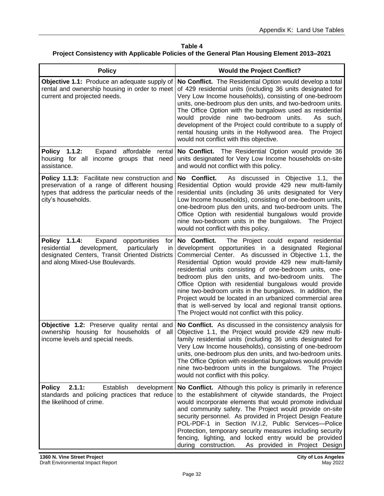| <b>Policy</b>                                                                                                                                                                             | <b>Would the Project Conflict?</b>                                                                                                                                                                                                                                                                                                                                                                                                                                                                                                                                                                                                                    |
|-------------------------------------------------------------------------------------------------------------------------------------------------------------------------------------------|-------------------------------------------------------------------------------------------------------------------------------------------------------------------------------------------------------------------------------------------------------------------------------------------------------------------------------------------------------------------------------------------------------------------------------------------------------------------------------------------------------------------------------------------------------------------------------------------------------------------------------------------------------|
| <b>Objective 1.1:</b> Produce an adequate supply of<br>rental and ownership housing in order to meet<br>current and projected needs.                                                      | No Conflict. The Residential Option would develop a total<br>of 429 residential units (including 36 units designated for<br>Very Low Income households), consisting of one-bedroom<br>units, one-bedroom plus den units, and two-bedroom units.<br>The Office Option with the bungalows used as residential<br>would provide nine two-bedroom units.<br>As such,<br>development of the Project could contribute to a supply of<br>rental housing units in the Hollywood area. The Project<br>would not conflict with this objective.                                                                                                                  |
| Policy 1.1.2:<br>Expand affordable rental<br>housing for all income groups that need<br>assistance.                                                                                       | No Conflict. The Residential Option would provide 36<br>units designated for Very Low Income households on-site<br>and would not conflict with this policy.                                                                                                                                                                                                                                                                                                                                                                                                                                                                                           |
| Policy 1.1.3: Facilitate new construction and<br>preservation of a range of different housing<br>types that address the particular needs of the<br>city's households.                     | No Conflict.<br>As discussed in Objective 1.1, the<br>Residential Option would provide 429 new multi-family<br>residential units (including 36 units designated for Very<br>Low Income households), consisting of one-bedroom units,<br>one-bedroom plus den units, and two-bedroom units. The<br>Office Option with residential bungalows would provide<br>nine two-bedroom units in the bungalows. The Project<br>would not conflict with this policy.                                                                                                                                                                                              |
| Policy 1.1.4:<br>Expand<br>opportunities<br>for<br>development,<br>particularly<br>residential<br>in<br>designated Centers, Transit Oriented Districts<br>and along Mixed-Use Boulevards. | No Conflict.<br>The Project could expand residential<br>development opportunities in a designated Regional<br>Commercial Center. As discussed in Objective 1.1, the<br>Residential Option would provide 429 new multi-family<br>residential units consisting of one-bedroom units, one-<br>bedroom plus den units, and two-bedroom units.<br>The<br>Office Option with residential bungalows would provide<br>nine two-bedroom units in the bungalows. In addition, the<br>Project would be located in an urbanized commercial area<br>that is well-served by local and regional transit options.<br>The Project would not conflict with this policy. |
| Objective 1.2: Preserve quality rental and<br>ownership housing for households of all<br>income levels and special needs.                                                                 | No Conflict. As discussed in the consistency analysis for<br>Objective 1.1, the Project would provide 429 new multi-<br>family residential units (including 36 units designated for<br>Very Low Income households), consisting of one-bedroom<br>units, one-bedroom plus den units, and two-bedroom units.<br>The Office Option with residential bungalows would provide<br>nine two-bedroom units in the bungalows. The Project<br>would not conflict with this policy.                                                                                                                                                                              |
| 2.1.1:<br>Establish<br><b>Policy</b><br>development<br>standards and policing practices that reduce<br>the likelihood of crime.                                                           | No Conflict. Although this policy is primarily in reference<br>to the establishment of citywide standards, the Project<br>would incorporate elements that would promote individual<br>and community safety. The Project would provide on-site<br>security personnel. As provided in Project Design Feature<br>POL-PDF-1 in Section IV.I.2, Public Services-Police<br>Protection, temporary security measures including security<br>fencing, lighting, and locked entry would be provided<br>during construction.<br>As provided in Project Design                                                                                                     |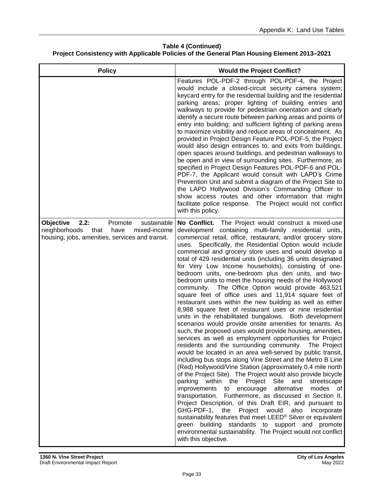| <b>Policy</b>                                                                                                                                          | <b>Would the Project Conflict?</b>                                                                                                                                                                                                                                                                                                                                                                                                                                                                                                                                                                                                                                                                                                                                                                                                                                                                                                                                                                                                                                                                                                                                                                                                                                                                                                                                                                                                                                                                                                                                                                                                                                                                                                                                                                                                                                             |
|--------------------------------------------------------------------------------------------------------------------------------------------------------|--------------------------------------------------------------------------------------------------------------------------------------------------------------------------------------------------------------------------------------------------------------------------------------------------------------------------------------------------------------------------------------------------------------------------------------------------------------------------------------------------------------------------------------------------------------------------------------------------------------------------------------------------------------------------------------------------------------------------------------------------------------------------------------------------------------------------------------------------------------------------------------------------------------------------------------------------------------------------------------------------------------------------------------------------------------------------------------------------------------------------------------------------------------------------------------------------------------------------------------------------------------------------------------------------------------------------------------------------------------------------------------------------------------------------------------------------------------------------------------------------------------------------------------------------------------------------------------------------------------------------------------------------------------------------------------------------------------------------------------------------------------------------------------------------------------------------------------------------------------------------------|
|                                                                                                                                                        | Features POL-PDF-2 through POL-PDF-4, the Project<br>would include a closed-circuit security camera system;<br>keycard entry for the residential building and the residential<br>parking areas; proper lighting of building entries and<br>walkways to provide for pedestrian orientation and clearly<br>identify a secure route between parking areas and points of<br>entry into building; and sufficient lighting of parking areas<br>to maximize visibility and reduce areas of concealment. As<br>provided in Project Design Feature POL-PDF-5, the Project<br>would also design entrances to, and exits from buildings,<br>open spaces around buildings, and pedestrian walkways to<br>be open and in view of surrounding sites. Furthermore, as<br>specified in Project Design Features POL-PDF-6 and POL-<br>PDF-7, the Applicant would consult with LAPD's Crime<br>Prevention Unit and submit a diagram of the Project Site to<br>the LAPD Hollywood Division's Commanding Officer to<br>show access routes and other information that might<br>facilitate police response. The Project would not conflict<br>with this policy.                                                                                                                                                                                                                                                                                                                                                                                                                                                                                                                                                                                                                                                                                                                                      |
| sustainable<br>2.2:<br><b>Objective</b><br>Promote<br>neighborhoods<br>that<br>have<br>mixed-income<br>housing, jobs, amenities, services and transit. | No Conflict. The Project would construct a mixed-use<br>development containing multi-family residential units,<br>commercial retail, office, restaurant, and/or grocery store<br>uses. Specifically, the Residential Option would include<br>commercial and grocery store uses and would develop a<br>total of 429 residential units (including 36 units designated<br>for Very Low Income households), consisting of one-<br>bedroom units, one-bedroom plus den units, and two-<br>bedroom units to meet the housing needs of the Hollywood<br>community. The Office Option would provide 463,521<br>square feet of office uses and 11,914 square feet of<br>restaurant uses within the new building as well as either<br>8,988 square feet of restaurant uses or nine residential<br>units in the rehabilitated bungalows. Both development<br>scenarios would provide onsite amenities for tenants. As<br>such, the proposed uses would provide housing, amenities,<br>services as well as employment opportunities for Project<br>residents and the surrounding community. The Project<br>would be located in an area well-served by public transit,<br>including bus stops along Vine Street and the Metro B Line<br>(Red) Hollywood/Vine Station (approximately 0.4 mile north<br>of the Project Site). The Project would also provide bicycle<br>parking<br>within the Project<br>Site<br>and<br>streetscape<br>improvements<br>alternative<br>modes<br>to encourage<br>of<br>Furthermore, as discussed in Section II,<br>transportation.<br>Project Description, of this Draft EIR, and pursuant to<br>GHG-PDF-1, the<br>Project would also<br>incorporate<br>sustainability features that meet LEED® Silver or equivalent<br>green building standards to support and promote<br>environmental sustainability. The Project would not conflict<br>with this objective. |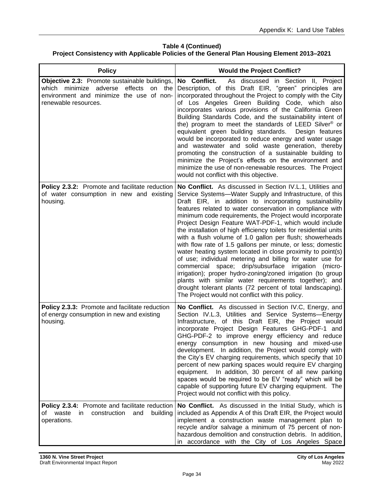| <b>Policy</b>                                                                                                                                                 | <b>Would the Project Conflict?</b>                                                                                                                                                                                                                                                                                                                                                                                                                                                                                                                                                                                                                                                                                                                                                                                                                                                                                                                                                               |
|---------------------------------------------------------------------------------------------------------------------------------------------------------------|--------------------------------------------------------------------------------------------------------------------------------------------------------------------------------------------------------------------------------------------------------------------------------------------------------------------------------------------------------------------------------------------------------------------------------------------------------------------------------------------------------------------------------------------------------------------------------------------------------------------------------------------------------------------------------------------------------------------------------------------------------------------------------------------------------------------------------------------------------------------------------------------------------------------------------------------------------------------------------------------------|
| Objective 2.3: Promote sustainable buildings,<br>on the<br>which minimize adverse effects<br>environment and minimize the use of non-<br>renewable resources. | No Conflict.<br>As discussed in Section II, Project<br>Description, of this Draft EIR, "green" principles are<br>incorporated throughout the Project to comply with the City<br>of Los Angeles Green Building Code, which also<br>incorporates various provisions of the California Green<br>Building Standards Code, and the sustainability intent of<br>the) program to meet the standards of LEED Silver <sup>®</sup> or<br>equivalent green building standards.<br>Design features<br>would be incorporated to reduce energy and water usage<br>and wastewater and solid waste generation, thereby<br>promoting the construction of a sustainable building to<br>minimize the Project's effects on the environment and<br>minimize the use of non-renewable resources. The Project<br>would not conflict with this objective.                                                                                                                                                                |
| Policy 2.3.2: Promote and facilitate reduction<br>of water consumption in new and existing<br>housing.                                                        | No Conflict. As discussed in Section IV.L.1, Utilities and<br>Service Systems-Water Supply and Infrastructure, of this<br>Draft EIR, in addition to incorporating sustainability<br>features related to water conservation in compliance with<br>minimum code requirements, the Project would incorporate<br>Project Design Feature WAT-PDF-1, which would include<br>the installation of high efficiency toilets for residential units<br>with a flush volume of 1.0 gallon per flush; showerheads<br>with flow rate of 1.5 gallons per minute, or less; domestic<br>water heating system located in close proximity to point(s)<br>of use; individual metering and billing for water use for<br>commercial space; drip/subsurface irrigation (micro-<br>irrigation); proper hydro-zoning/zoned irrigation (to group<br>plants with similar water requirements together); and<br>drought tolerant plants (72 percent of total landscaping).<br>The Project would not conflict with this policy. |
| Policy 2.3.3: Promote and facilitate reduction<br>of energy consumption in new and existing<br>housing.                                                       | No Conflict. As discussed in Section IV.C, Energy, and<br>Section IV.L.3, Utilities and Service Systems-Energy<br>Infrastructure, of this Draft EIR, the Project would<br>incorporate Project Design Features GHG-PDF-1 and<br>GHG-PDF-2 to improve energy efficiency and reduce<br>energy consumption in new housing and mixed-use<br>development. In addition, the Project would comply with<br>the City's EV charging requirements, which specify that 10<br>percent of new parking spaces would require EV charging<br>equipment. In addition, 30 percent of all new parking<br>spaces would be required to be EV "ready" which will be<br>capable of supporting future EV charging equipment. The<br>Project would not conflict with this policy.                                                                                                                                                                                                                                           |
| Policy 2.3.4: Promote and facilitate reduction<br>of waste<br>building<br>in<br>construction<br>and<br>operations.                                            | No Conflict. As discussed in the Initial Study, which is<br>included as Appendix A of this Draft EIR, the Project would<br>implement a construction waste management plan to<br>recycle and/or salvage a minimum of 75 percent of non-<br>hazardous demolition and construction debris. In addition,<br>in accordance with the City of Los Angeles Space                                                                                                                                                                                                                                                                                                                                                                                                                                                                                                                                                                                                                                         |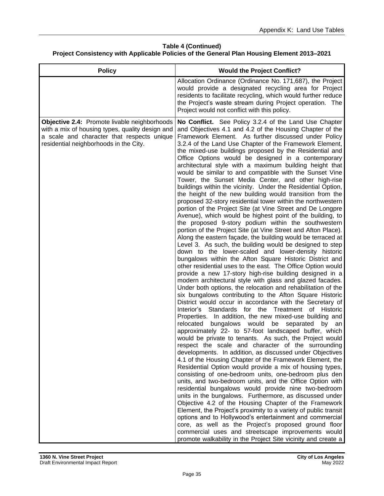| <b>Policy</b>                                                                                                                                                                           | <b>Would the Project Conflict?</b>                                                                                                                                                                                                                                                                                                                                                                                                                                                                                                                                                                                                                                                                                                                                                                                                                                                                                                                                                                                                                                                                                                                                                                                                                                                                                                                                                                                                                                                                                                                                                                                                                                                                                                                                                                                                                                                                                                                                                                                                                                                                                                                                                                                                                                                                                                                                                                                                                                                                                                                                                                                                                                                                                                                                   |
|-----------------------------------------------------------------------------------------------------------------------------------------------------------------------------------------|----------------------------------------------------------------------------------------------------------------------------------------------------------------------------------------------------------------------------------------------------------------------------------------------------------------------------------------------------------------------------------------------------------------------------------------------------------------------------------------------------------------------------------------------------------------------------------------------------------------------------------------------------------------------------------------------------------------------------------------------------------------------------------------------------------------------------------------------------------------------------------------------------------------------------------------------------------------------------------------------------------------------------------------------------------------------------------------------------------------------------------------------------------------------------------------------------------------------------------------------------------------------------------------------------------------------------------------------------------------------------------------------------------------------------------------------------------------------------------------------------------------------------------------------------------------------------------------------------------------------------------------------------------------------------------------------------------------------------------------------------------------------------------------------------------------------------------------------------------------------------------------------------------------------------------------------------------------------------------------------------------------------------------------------------------------------------------------------------------------------------------------------------------------------------------------------------------------------------------------------------------------------------------------------------------------------------------------------------------------------------------------------------------------------------------------------------------------------------------------------------------------------------------------------------------------------------------------------------------------------------------------------------------------------------------------------------------------------------------------------------------------------|
|                                                                                                                                                                                         | Allocation Ordinance (Ordinance No. 171,687), the Project<br>would provide a designated recycling area for Project<br>residents to facilitate recycling, which would further reduce<br>the Project's waste stream during Project operation. The<br>Project would not conflict with this policy.                                                                                                                                                                                                                                                                                                                                                                                                                                                                                                                                                                                                                                                                                                                                                                                                                                                                                                                                                                                                                                                                                                                                                                                                                                                                                                                                                                                                                                                                                                                                                                                                                                                                                                                                                                                                                                                                                                                                                                                                                                                                                                                                                                                                                                                                                                                                                                                                                                                                      |
| Objective 2.4: Promote livable neighborhoods<br>with a mix of housing types, quality design and<br>a scale and character that respects unique<br>residential neighborhoods in the City. | No Conflict. See Policy 3.2.4 of the Land Use Chapter<br>and Objectives 4.1 and 4.2 of the Housing Chapter of the<br>Framework Element. As further discussed under Policy<br>3.2.4 of the Land Use Chapter of the Framework Element,<br>the mixed-use buildings proposed by the Residential and<br>Office Options would be designed in a contemporary<br>architectural style with a maximum building height that<br>would be similar to and compatible with the Sunset Vine<br>Tower, the Sunset Media Center, and other high-rise<br>buildings within the vicinity. Under the Residential Option,<br>the height of the new building would transition from the<br>proposed 32-story residential tower within the northwestern<br>portion of the Project Site (at Vine Street and De Longpre<br>Avenue), which would be highest point of the building, to<br>the proposed 9-story podium within the southwestern<br>portion of the Project Site (at Vine Street and Afton Place).<br>Along the eastern façade, the building would be terraced at<br>Level 3. As such, the building would be designed to step<br>down to the lower-scaled and lower-density historic<br>bungalows within the Afton Square Historic District and<br>other residential uses to the east. The Office Option would<br>provide a new 17-story high-rise building designed in a<br>modern architectural style with glass and glazed facades.<br>Under both options, the relocation and rehabilitation of the<br>six bungalows contributing to the Afton Square Historic<br>District would occur in accordance with the Secretary of<br>Interior's Standards for the Treatment of Historic<br>Properties. In addition, the new mixed-use building and<br>relocated<br>bungalows would<br>be separated<br>by<br>an<br>approximately 22- to 57-foot landscaped buffer, which<br>would be private to tenants. As such, the Project would<br>respect the scale and character of the surrounding<br>developments. In addition, as discussed under Objectives<br>4.1 of the Housing Chapter of the Framework Element, the<br>Residential Option would provide a mix of housing types,<br>consisting of one-bedroom units, one-bedroom plus den<br>units, and two-bedroom units, and the Office Option with<br>residential bungalows would provide nine two-bedroom<br>units in the bungalows. Furthermore, as discussed under<br>Objective 4.2 of the Housing Chapter of the Framework<br>Element, the Project's proximity to a variety of public transit<br>options and to Hollywood's entertainment and commercial<br>core, as well as the Project's proposed ground floor<br>commercial uses and streetscape improvements would<br>promote walkability in the Project Site vicinity and create a |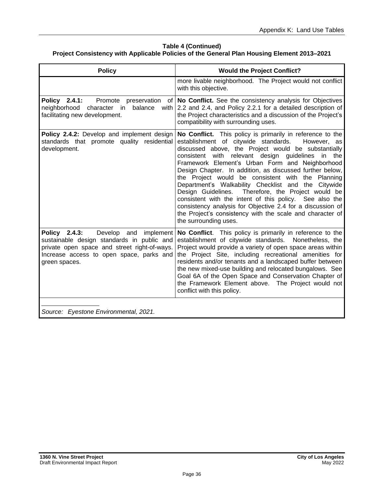| <b>Policy</b>                                                                                                                                                                                        | <b>Would the Project Conflict?</b>                                                                                                                                                                                                                                                                                                                                                                                                                                                                                                                                                                                                                                                                                                          |
|------------------------------------------------------------------------------------------------------------------------------------------------------------------------------------------------------|---------------------------------------------------------------------------------------------------------------------------------------------------------------------------------------------------------------------------------------------------------------------------------------------------------------------------------------------------------------------------------------------------------------------------------------------------------------------------------------------------------------------------------------------------------------------------------------------------------------------------------------------------------------------------------------------------------------------------------------------|
|                                                                                                                                                                                                      | more livable neighborhood. The Project would not conflict<br>with this objective.                                                                                                                                                                                                                                                                                                                                                                                                                                                                                                                                                                                                                                                           |
| Policy 2.4.1:<br>Promote preservation<br>of l<br>neighborhood<br>character in<br>balance<br>with<br>facilitating new development.                                                                    | No Conflict. See the consistency analysis for Objectives<br>2.2 and 2.4, and Policy 2.2.1 for a detailed description of<br>the Project characteristics and a discussion of the Project's<br>compatibility with surrounding uses.                                                                                                                                                                                                                                                                                                                                                                                                                                                                                                            |
| Policy 2.4.2: Develop and implement design<br>standards that promote quality residential<br>development.                                                                                             | No Conflict. This policy is primarily in reference to the<br>establishment of citywide standards.<br>However, as<br>discussed above, the Project would be substantially<br>with relevant design guidelines<br>the<br>consistent<br>in in<br>Framework Element's Urban Form and Neighborhood<br>Design Chapter. In addition, as discussed further below,<br>the Project would be consistent with the Planning<br>Department's Walkability Checklist and the Citywide<br>Therefore, the Project would be<br>Design Guidelines.<br>consistent with the intent of this policy. See also the<br>consistency analysis for Objective 2.4 for a discussion of<br>the Project's consistency with the scale and character of<br>the surrounding uses. |
| Policy 2.4.3:<br>Develop and<br>implement<br>sustainable design standards in public and<br>private open space and street right-of-ways.<br>Increase access to open space, parks and<br>green spaces. | No Conflict. This policy is primarily in reference to the<br>establishment of citywide standards.<br>Nonetheless, the<br>Project would provide a variety of open space areas within<br>the Project Site, including recreational amenities for<br>residents and/or tenants and a landscaped buffer between<br>the new mixed-use building and relocated bungalows. See<br>Goal 6A of the Open Space and Conservation Chapter of<br>the Framework Element above. The Project would not<br>conflict with this policy.                                                                                                                                                                                                                           |
| Source: Eyestone Environmental, 2021.                                                                                                                                                                |                                                                                                                                                                                                                                                                                                                                                                                                                                                                                                                                                                                                                                                                                                                                             |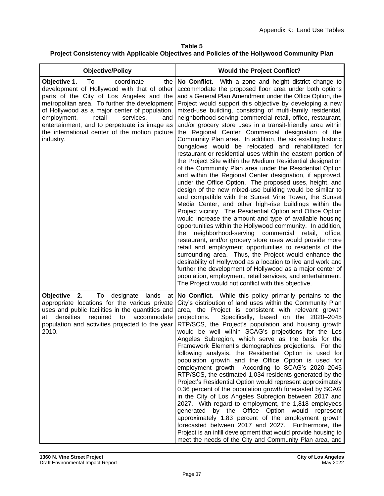| <b>Objective/Policy</b>                                                                                                                                                                                                                                                                                                                                                                           | <b>Would the Project Conflict?</b>                                                                                                                                                                                                                                                                                                                                                                                                                                                                                                                                                                                                                                                                                                                                                                                                                                                                                                                                                                                                                                                                                                                                                                                                                                                                                                                                                                                                                                                                                                                                                                                                                                                                                                                                                                           |
|---------------------------------------------------------------------------------------------------------------------------------------------------------------------------------------------------------------------------------------------------------------------------------------------------------------------------------------------------------------------------------------------------|--------------------------------------------------------------------------------------------------------------------------------------------------------------------------------------------------------------------------------------------------------------------------------------------------------------------------------------------------------------------------------------------------------------------------------------------------------------------------------------------------------------------------------------------------------------------------------------------------------------------------------------------------------------------------------------------------------------------------------------------------------------------------------------------------------------------------------------------------------------------------------------------------------------------------------------------------------------------------------------------------------------------------------------------------------------------------------------------------------------------------------------------------------------------------------------------------------------------------------------------------------------------------------------------------------------------------------------------------------------------------------------------------------------------------------------------------------------------------------------------------------------------------------------------------------------------------------------------------------------------------------------------------------------------------------------------------------------------------------------------------------------------------------------------------------------|
| Objective 1.<br>To<br>coordinate<br>the<br>development of Hollywood with that of other<br>parts of the City of Los Angeles and the<br>metropolitan area. To further the development<br>of Hollywood as a major center of population,<br>retail<br>employment,<br>services,<br>and<br>entertainment; and to perpetuate its image as<br>the international center of the motion picture<br>industry. | No Conflict.<br>With a zone and height district change to<br>accommodate the proposed floor area under both options<br>and a General Plan Amendment under the Office Option, the<br>Project would support this objective by developing a new<br>mixed-use building, consisting of multi-family residential,<br>neighborhood-serving commercial retail, office, restaurant,<br>and/or grocery store uses in a transit-friendly area within<br>the Regional Center Commercial designation of the<br>Community Plan area. In addition, the six existing historic<br>bungalows would be relocated and rehabilitated for<br>restaurant or residential uses within the eastern portion of<br>the Project Site within the Medium Residential designation<br>of the Community Plan area under the Residential Option<br>and within the Regional Center designation, if approved,<br>under the Office Option. The proposed uses, height, and<br>design of the new mixed-use building would be similar to<br>and compatible with the Sunset Vine Tower, the Sunset<br>Media Center, and other high-rise buildings within the<br>Project vicinity. The Residential Option and Office Option<br>would increase the amount and type of available housing<br>opportunities within the Hollywood community. In addition,<br>neighborhood-serving commercial<br>the<br>retail,<br>office,<br>restaurant, and/or grocery store uses would provide more<br>retail and employment opportunities to residents of the<br>surrounding area. Thus, the Project would enhance the<br>desirability of Hollywood as a location to live and work and<br>further the development of Hollywood as a major center of<br>population, employment, retail services, and entertainment.<br>The Project would not conflict with this objective. |
| Objective<br>To<br>2.<br>designate<br>lands<br>at<br>appropriate locations for the various private<br>uses and public facilities in the quantities and<br>densities<br>required<br>accommodate<br>to<br>at<br>population and activities projected to the year<br>2010.                                                                                                                            | No Conflict. While this policy primarily pertains to the<br>City's distribution of land uses within the Community Plan<br>area, the Project is consistent with relevant growth<br>Specifically, based on the 2020-2045<br>projections.<br>RTP/SCS, the Project's population and housing growth<br>would be well within SCAG's projections for the Los<br>Angeles Subregion, which serve as the basis for the<br>Framework Element's demographics projections. For the<br>following analysis, the Residential Option is used for<br>population growth and the Office Option is used for<br>employment growth According to SCAG's 2020-2045<br>RTP/SCS, the estimated 1,034 residents generated by the<br>Project's Residential Option would represent approximately<br>0.36 percent of the population growth forecasted by SCAG<br>in the City of Los Angeles Subregion between 2017 and<br>2027. With regard to employment, the 1,818 employees<br>generated by the Office Option would represent<br>approximately 1.83 percent of the employment growth<br>forecasted between 2017 and 2027. Furthermore, the<br>Project is an infill development that would provide housing to<br>meet the needs of the City and Community Plan area, and                                                                                                                                                                                                                                                                                                                                                                                                                                                                                                                                                                  |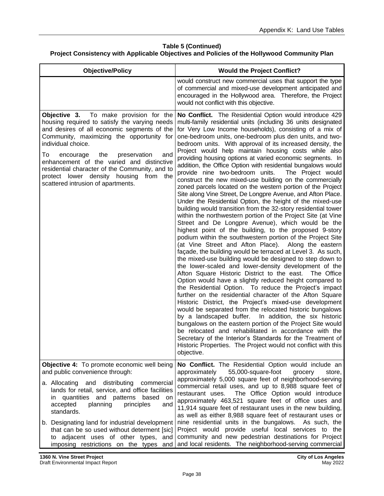| <b>Objective/Policy</b>                                                                                                                                                                                                                                                                                                                                                                                                                            | <b>Would the Project Conflict?</b>                                                                                                                                                                                                                                                                                                                                                                                                                                                                                                                                                                                                                                                                                                                                                                                                                                                                                                                                                                                                                                                                                                                                                                                                                                                                                                                                                                                                                                                                                                                                                                                                                                                                                                                                                                                                                                                                                                                                                                                                                                            |
|----------------------------------------------------------------------------------------------------------------------------------------------------------------------------------------------------------------------------------------------------------------------------------------------------------------------------------------------------------------------------------------------------------------------------------------------------|-------------------------------------------------------------------------------------------------------------------------------------------------------------------------------------------------------------------------------------------------------------------------------------------------------------------------------------------------------------------------------------------------------------------------------------------------------------------------------------------------------------------------------------------------------------------------------------------------------------------------------------------------------------------------------------------------------------------------------------------------------------------------------------------------------------------------------------------------------------------------------------------------------------------------------------------------------------------------------------------------------------------------------------------------------------------------------------------------------------------------------------------------------------------------------------------------------------------------------------------------------------------------------------------------------------------------------------------------------------------------------------------------------------------------------------------------------------------------------------------------------------------------------------------------------------------------------------------------------------------------------------------------------------------------------------------------------------------------------------------------------------------------------------------------------------------------------------------------------------------------------------------------------------------------------------------------------------------------------------------------------------------------------------------------------------------------------|
|                                                                                                                                                                                                                                                                                                                                                                                                                                                    | would construct new commercial uses that support the type<br>of commercial and mixed-use development anticipated and<br>encouraged in the Hollywood area. Therefore, the Project<br>would not conflict with this objective.                                                                                                                                                                                                                                                                                                                                                                                                                                                                                                                                                                                                                                                                                                                                                                                                                                                                                                                                                                                                                                                                                                                                                                                                                                                                                                                                                                                                                                                                                                                                                                                                                                                                                                                                                                                                                                                   |
| To make provision for the<br>Objective 3.<br>housing required to satisfy the varying needs<br>and desires of all economic segments of the<br>Community, maximizing the opportunity for<br>individual choice.<br>To<br>the<br>preservation<br>encourage<br>and<br>enhancement of the varied and distinctive<br>residential character of the Community, and to<br>protect lower density housing<br>from<br>the<br>scattered intrusion of apartments. | No Conflict. The Residential Option would introduce 429<br>multi-family residential units (including 36 units designated<br>for Very Low Income households), consisting of a mix of<br>one-bedroom units, one-bedroom plus den units, and two-<br>bedroom units. With approval of its increased density, the<br>Project would help maintain housing costs while also<br>providing housing options at varied economic segments. In<br>addition, the Office Option with residential bungalows would<br>provide nine two-bedroom units.<br>The Project would<br>construct the new mixed-use building on the commercially<br>zoned parcels located on the western portion of the Project<br>Site along Vine Street, De Longpre Avenue, and Afton Place.<br>Under the Residential Option, the height of the mixed-use<br>building would transition from the 32-story residential tower<br>within the northwestern portion of the Project Site (at Vine<br>Street and De Longpre Avenue), which would be the<br>highest point of the building, to the proposed 9-story<br>podium within the southwestern portion of the Project Site<br>(at Vine Street and Afton Place). Along the eastern<br>façade, the building would be terraced at Level 3. As such,<br>the mixed-use building would be designed to step down to<br>the lower-scaled and lower-density development of the<br>Afton Square Historic District to the east.<br>The Office<br>Option would have a slightly reduced height compared to<br>the Residential Option. To reduce the Project's impact<br>further on the residential character of the Afton Square<br>Historic District, the Project's mixed-use development<br>would be separated from the relocated historic bungalows<br>by a landscaped buffer.<br>In addition, the six historic<br>bungalows on the eastern portion of the Project Site would<br>be relocated and rehabilitated in accordance with the<br>Secretary of the Interior's Standards for the Treatment of<br>Historic Properties. The Project would not conflict with this<br>objective. |
| Objective 4: To promote economic well being<br>and public convenience through:<br>a. Allocating<br>and<br>distributing<br>commercial<br>lands for retail, service, and office facilities<br>quantities and patterns based<br>in<br>on<br>principles<br>accepted<br>planning<br>and<br>standards.                                                                                                                                                   | No Conflict. The Residential Option would include an<br>55,000-square-foot<br>approximately<br>grocery<br>store,<br>approximately 5,000 square feet of neighborhood-serving<br>commercial retail uses, and up to 8,988 square feet of<br>The Office Option would introduce<br>restaurant uses.<br>approximately 463,521 square feet of office uses and<br>11,914 square feet of restaurant uses in the new building,<br>as well as either 8,988 square feet of restaurant uses or                                                                                                                                                                                                                                                                                                                                                                                                                                                                                                                                                                                                                                                                                                                                                                                                                                                                                                                                                                                                                                                                                                                                                                                                                                                                                                                                                                                                                                                                                                                                                                                             |
| b. Designating land for industrial development<br>that can be so used without determent [sic]<br>to adjacent uses of other types, and<br>imposing restrictions on the types and                                                                                                                                                                                                                                                                    | nine residential units in the bungalows. As such, the<br>Project would provide useful local services to the<br>community and new pedestrian destinations for Project<br>and local residents. The neighborhood-serving commercial                                                                                                                                                                                                                                                                                                                                                                                                                                                                                                                                                                                                                                                                                                                                                                                                                                                                                                                                                                                                                                                                                                                                                                                                                                                                                                                                                                                                                                                                                                                                                                                                                                                                                                                                                                                                                                              |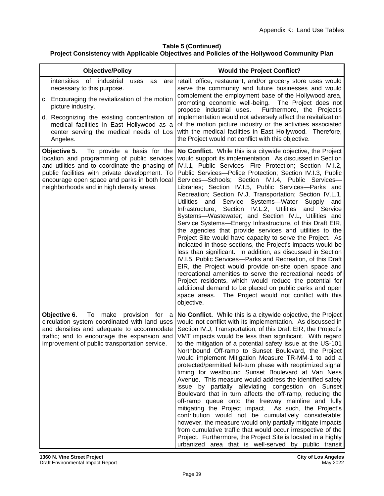| <b>Objective/Policy</b>                                                                                                                                                                                                                                                                                        | <b>Would the Project Conflict?</b>                                                                                                                                                                                                                                                                                                                                                                                                                                                                                                                                                                                                                                                                                                                                                                                                                                                                                                                                                                                                                                                                                                                                                                                                                                                                                                       |
|----------------------------------------------------------------------------------------------------------------------------------------------------------------------------------------------------------------------------------------------------------------------------------------------------------------|------------------------------------------------------------------------------------------------------------------------------------------------------------------------------------------------------------------------------------------------------------------------------------------------------------------------------------------------------------------------------------------------------------------------------------------------------------------------------------------------------------------------------------------------------------------------------------------------------------------------------------------------------------------------------------------------------------------------------------------------------------------------------------------------------------------------------------------------------------------------------------------------------------------------------------------------------------------------------------------------------------------------------------------------------------------------------------------------------------------------------------------------------------------------------------------------------------------------------------------------------------------------------------------------------------------------------------------|
| intensities<br>of<br>industrial<br>uses<br>as<br>are<br>necessary to this purpose.<br>c. Encouraging the revitalization of the motion<br>picture industry.<br>d. Recognizing the existing concentration of<br>medical facilities in East Hollywood as a<br>center serving the medical needs of Los<br>Angeles. | retail, office, restaurant, and/or grocery store uses would<br>serve the community and future businesses and would<br>complement the employment base of the Hollywood area,<br>promoting economic well-being. The Project does not<br>propose industrial uses.<br>Furthermore, the Project's<br>implementation would not adversely affect the revitalization<br>of the motion picture industry or the activities associated<br>with the medical facilities in East Hollywood. Therefore,<br>the Project would not conflict with this objective.                                                                                                                                                                                                                                                                                                                                                                                                                                                                                                                                                                                                                                                                                                                                                                                          |
| To provide a basis for the<br>Objective 5.<br>location and programming of public services<br>and utilities and to coordinate the phasing of<br>public facilities with private development. To<br>encourage open space and parks in both local<br>neighborhoods and in high density areas.                      | No Conflict. While this is a citywide objective, the Project<br>would support its implementation. As discussed in Section<br>IV.I.1, Public Services-Fire Protection; Section IV.I.2,<br>Public Services-- Police Protection; Section IV.I.3, Public<br>Services-Schools; Section IV.I.4, Public Services-<br>Libraries; Section IV.I.5, Public Services-Parks and<br>Recreation; Section IV.J, Transportation; Section IV.L.1,<br>Systems-Water<br><b>Utilities</b><br>and<br>Service<br>Supply<br>and<br>Section<br>Infrastructure;<br>IV.L.2, Utilities<br>and Service<br>Systems-Wastewater; and Section IV.L, Utilities and<br>Service Systems-Energy Infrastructure, of this Draft EIR,<br>the agencies that provide services and utilities to the<br>Project Site would have capacity to serve the Project. As<br>indicated in those sections, the Project's impacts would be<br>less than significant. In addition, as discussed in Section<br>IV.I.5, Public Services-Parks and Recreation, of this Draft<br>EIR, the Project would provide on-site open space and<br>recreational amenities to serve the recreational needs of<br>Project residents, which would reduce the potential for<br>additional demand to be placed on public parks and open<br>The Project would not conflict with this<br>space areas.<br>objective. |
| Objective 6.<br>To make provision for<br>$\alpha$<br>circulation system coordinated with land uses<br>and densities and adequate to accommodate<br>traffic; and to encourage the expansion and<br>improvement of public transportation service.                                                                | No Conflict. While this is a citywide objective, the Project<br>would not conflict with its implementation. As discussed in<br>Section IV.J, Transportation, of this Draft EIR, the Project's<br>VMT impacts would be less than significant. With regard<br>to the mitigation of a potential safety issue at the US-101<br>Northbound Off-ramp to Sunset Boulevard, the Project<br>would implement Mitigation Measure TR-MM-1 to add a<br>protected/permitted left-turn phase with reoptimized signal<br>timing for westbound Sunset Boulevard at Van Ness<br>Avenue. This measure would address the identified safety<br>issue by partially alleviating congestion on Sunset<br>Boulevard that in turn affects the off-ramp, reducing the<br>off-ramp queue onto the freeway mainline and fully<br>mitigating the Project impact. As such, the Project's<br>contribution would not be cumulatively considerable;<br>however, the measure would only partially mitigate impacts<br>from cumulative traffic that would occur irrespective of the<br>Project. Furthermore, the Project Site is located in a highly<br>urbanized area that is well-served by public transit                                                                                                                                                                 |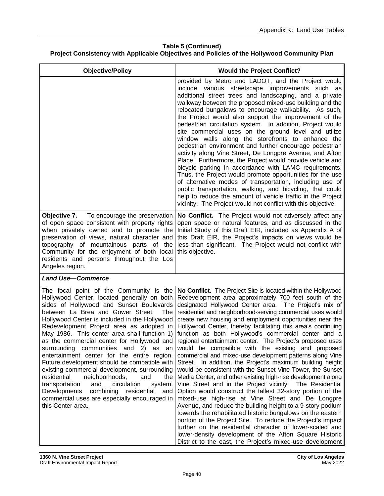| <b>Objective/Policy</b>                                                                                                                                                                                                                                                                                                                                                                                                                                                                                                                                                                                                                                                                                                                                                                    | <b>Would the Project Conflict?</b>                                                                                                                                                                                                                                                                                                                                                                                                                                                                                                                                                                                                                                                                                                                                                                                                                                                                                                                                                                                                                                                                                                                                                                                                                                                                                                                                             |
|--------------------------------------------------------------------------------------------------------------------------------------------------------------------------------------------------------------------------------------------------------------------------------------------------------------------------------------------------------------------------------------------------------------------------------------------------------------------------------------------------------------------------------------------------------------------------------------------------------------------------------------------------------------------------------------------------------------------------------------------------------------------------------------------|--------------------------------------------------------------------------------------------------------------------------------------------------------------------------------------------------------------------------------------------------------------------------------------------------------------------------------------------------------------------------------------------------------------------------------------------------------------------------------------------------------------------------------------------------------------------------------------------------------------------------------------------------------------------------------------------------------------------------------------------------------------------------------------------------------------------------------------------------------------------------------------------------------------------------------------------------------------------------------------------------------------------------------------------------------------------------------------------------------------------------------------------------------------------------------------------------------------------------------------------------------------------------------------------------------------------------------------------------------------------------------|
|                                                                                                                                                                                                                                                                                                                                                                                                                                                                                                                                                                                                                                                                                                                                                                                            | provided by Metro and LADOT, and the Project would<br>include various streetscape improvements such as<br>additional street trees and landscaping, and a private<br>walkway between the proposed mixed-use building and the<br>relocated bungalows to encourage walkability. As such,<br>the Project would also support the improvement of the<br>pedestrian circulation system. In addition, Project would<br>site commercial uses on the ground level and utilize<br>window walls along the storefronts to enhance the<br>pedestrian environment and further encourage pedestrian<br>activity along Vine Street, De Longpre Avenue, and Afton<br>Place. Furthermore, the Project would provide vehicle and<br>bicycle parking in accordance with LAMC requirements.<br>Thus, the Project would promote opportunities for the use<br>of alternative modes of transportation, including use of<br>public transportation, walking, and bicycling, that could<br>help to reduce the amount of vehicle traffic in the Project<br>vicinity. The Project would not conflict with this objective.                                                                                                                                                                                                                                                                                    |
| Objective 7.<br>To encourage the preservation<br>of open space consistent with property rights<br>when privately owned and to promote the<br>preservation of views, natural character and<br>topography of mountainous parts of the<br>Community for the enjoyment of both local<br>residents and persons throughout the Los<br>Angeles region.                                                                                                                                                                                                                                                                                                                                                                                                                                            | No Conflict. The Project would not adversely affect any<br>open space or natural features, and as discussed in the<br>Initial Study of this Draft EIR, included as Appendix A of<br>this Draft EIR, the Project's impacts on views would be<br>less than significant. The Project would not conflict with<br>this objective.                                                                                                                                                                                                                                                                                                                                                                                                                                                                                                                                                                                                                                                                                                                                                                                                                                                                                                                                                                                                                                                   |
| <b>Land Use-Commerce</b>                                                                                                                                                                                                                                                                                                                                                                                                                                                                                                                                                                                                                                                                                                                                                                   |                                                                                                                                                                                                                                                                                                                                                                                                                                                                                                                                                                                                                                                                                                                                                                                                                                                                                                                                                                                                                                                                                                                                                                                                                                                                                                                                                                                |
| The focal point of the Community is the<br>Hollywood Center, located generally on both<br>sides of Hollywood and Sunset Boulevards<br>between La Brea and Gower Street.<br>The<br>Hollywood Center is included in the Hollywood<br>Redevelopment Project area as adopted in<br>May 1986. This center area shall function 1)<br>as the commercial center for Hollywood and<br>surrounding communities and 2) as<br>an<br>entertainment center for the entire region.<br>Future development should be compatible with<br>existing commercial development, surrounding<br>residential<br>neighborhoods,<br>and<br>the<br>transportation<br>and<br>circulation<br>system.<br>combining residential<br>Developments<br>and<br>commercial uses are especially encouraged in<br>this Center area. | No Conflict. The Project Site is located within the Hollywood<br>Redevelopment area approximately 700 feet south of the<br>designated Hollywood Center area. The Project's mix of<br>residential and neighborhood-serving commercial uses would<br>create new housing and employment opportunities near the<br>Hollywood Center, thereby facilitating this area's continuing<br>function as both Hollywood's commercial center and a<br>regional entertainment center. The Project's proposed uses<br>would be compatible with the existing and proposed<br>commercial and mixed-use development patterns along Vine<br>Street. In addition, the Project's maximum building height<br>would be consistent with the Sunset Vine Tower, the Sunset<br>Media Center, and other existing high-rise development along<br>Vine Street and in the Project vicinity. The Residential<br>Option would construct the tallest 32-story portion of the<br>mixed-use high-rise at Vine Street and De Longpre<br>Avenue, and reduce the building height to a 9-story podium<br>towards the rehabilitated historic bungalows on the eastern<br>portion of the Project Site. To reduce the Project's impact<br>further on the residential character of lower-scaled and<br>lower-density development of the Afton Square Historic<br>District to the east, the Project's mixed-use development |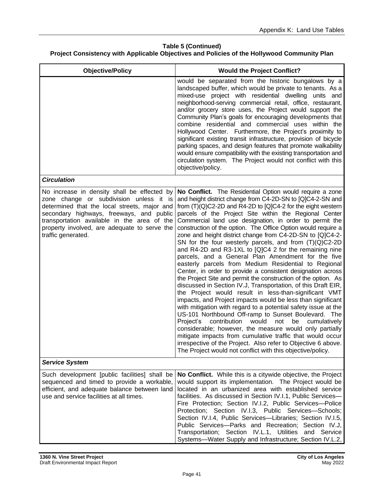| <b>Objective/Policy</b>                                                                                                                                                                                                                                                                                 | <b>Would the Project Conflict?</b>                                                                                                                                                                                                                                                                                                                                                                                                                                                                                                                                                                                                                                                                                                                                                                                                                                                                                                                                                                                                                                                                                                                                                                                                                                                                                                                                                                                                                            |
|---------------------------------------------------------------------------------------------------------------------------------------------------------------------------------------------------------------------------------------------------------------------------------------------------------|---------------------------------------------------------------------------------------------------------------------------------------------------------------------------------------------------------------------------------------------------------------------------------------------------------------------------------------------------------------------------------------------------------------------------------------------------------------------------------------------------------------------------------------------------------------------------------------------------------------------------------------------------------------------------------------------------------------------------------------------------------------------------------------------------------------------------------------------------------------------------------------------------------------------------------------------------------------------------------------------------------------------------------------------------------------------------------------------------------------------------------------------------------------------------------------------------------------------------------------------------------------------------------------------------------------------------------------------------------------------------------------------------------------------------------------------------------------|
|                                                                                                                                                                                                                                                                                                         | would be separated from the historic bungalows by a<br>landscaped buffer, which would be private to tenants. As a<br>mixed-use project with residential dwelling<br>units and<br>neighborhood-serving commercial retail, office, restaurant,<br>and/or grocery store uses, the Project would support the<br>Community Plan's goals for encouraging developments that<br>combine residential and commercial uses within the<br>Hollywood Center. Furthermore, the Project's proximity to<br>significant existing transit infrastructure, provision of bicycle<br>parking spaces, and design features that promote walkability<br>would ensure compatibility with the existing transportation and<br>circulation system. The Project would not conflict with this<br>objective/policy.                                                                                                                                                                                                                                                                                                                                                                                                                                                                                                                                                                                                                                                                          |
| <b>Circulation</b>                                                                                                                                                                                                                                                                                      |                                                                                                                                                                                                                                                                                                                                                                                                                                                                                                                                                                                                                                                                                                                                                                                                                                                                                                                                                                                                                                                                                                                                                                                                                                                                                                                                                                                                                                                               |
| No increase in density shall be effected by<br>zone change or subdivision unless it is<br>determined that the local streets, major and<br>secondary highways, freeways, and public<br>transportation available in the area of the<br>property involved, are adequate to serve the<br>traffic generated. | No Conflict. The Residential Option would require a zone<br>and height district change from C4-2D-SN to [Q]C4-2-SN and<br>from $(T)(Q)C2-2D$ and R4-2D to $[Q]C4-2$ for the eight western<br>parcels of the Project Site within the Regional Center<br>Commercial land use designation, in order to permit the<br>construction of the option. The Office Option would require a<br>zone and height district change from C4-2D-SN to [Q]C4-2-<br>SN for the four westerly parcels, and from $(T)(Q)C2-2D$<br>and R4-2D and R3-1XL to [Q]C4 2 for the remaining nine<br>parcels, and a General Plan Amendment for the five<br>easterly parcels from Medium Residential to Regional<br>Center, in order to provide a consistent designation across<br>the Project Site and permit the construction of the option. As<br>discussed in Section IV.J, Transportation, of this Draft EIR,<br>the Project would result in less-than-significant VMT<br>impacts, and Project impacts would be less than significant<br>with mitigation with regard to a potential safety issue at the<br>US-101 Northbound Off-ramp to Sunset Boulevard. The<br>contribution<br>would<br>Project's<br>not<br>be<br>cumulatively<br>considerable; however, the measure would only partially<br>mitigate impacts from cumulative traffic that would occur<br>irrespective of the Project. Also refer to Objective 6 above.<br>The Project would not conflict with this objective/policy. |
| <b>Service System</b>                                                                                                                                                                                                                                                                                   |                                                                                                                                                                                                                                                                                                                                                                                                                                                                                                                                                                                                                                                                                                                                                                                                                                                                                                                                                                                                                                                                                                                                                                                                                                                                                                                                                                                                                                                               |
| Such development [public facilities] shall be<br>sequenced and timed to provide a workable,<br>efficient, and adequate balance between land<br>use and service facilities at all times.                                                                                                                 | No Conflict. While this is a citywide objective, the Project<br>would support its implementation. The Project would be<br>located in an urbanized area with established service<br>facilities. As discussed in Section IV.I.1, Public Services-<br>Fire Protection; Section IV.I.2, Public Services-Police<br>Protection; Section IV.I.3, Public Services-Schools;<br>Section IV.I.4, Public Services-Libraries; Section IV.I.5,<br>Public Services--- Parks and Recreation; Section IV.J,<br>Transportation; Section IV.L.1, Utilities and Service<br>Systems-Water Supply and Infrastructure; Section IV.L.2,                                                                                                                                                                                                                                                                                                                                                                                                                                                                                                                                                                                                                                                                                                                                                                                                                                               |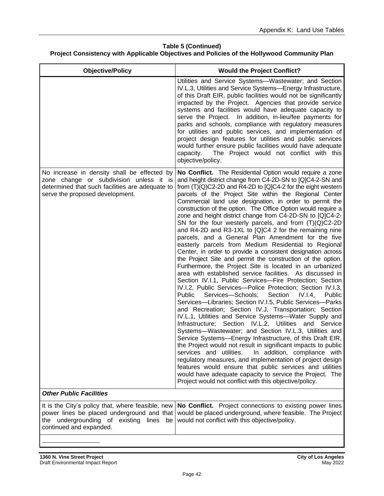| <b>Objective/Policy</b>                                                                                                                                                      | <b>Would the Project Conflict?</b>                                                                                                                                                                                                                                                                                                                                                                                                                                                                                                                                                                                                                                                                                                                                                                                                                                                                                                                                                                                                                                                                                                                                                                                                                                                                                                                                                                                                                                                                                                                                                                                                                                                                                                                                                                                                                                    |
|------------------------------------------------------------------------------------------------------------------------------------------------------------------------------|-----------------------------------------------------------------------------------------------------------------------------------------------------------------------------------------------------------------------------------------------------------------------------------------------------------------------------------------------------------------------------------------------------------------------------------------------------------------------------------------------------------------------------------------------------------------------------------------------------------------------------------------------------------------------------------------------------------------------------------------------------------------------------------------------------------------------------------------------------------------------------------------------------------------------------------------------------------------------------------------------------------------------------------------------------------------------------------------------------------------------------------------------------------------------------------------------------------------------------------------------------------------------------------------------------------------------------------------------------------------------------------------------------------------------------------------------------------------------------------------------------------------------------------------------------------------------------------------------------------------------------------------------------------------------------------------------------------------------------------------------------------------------------------------------------------------------------------------------------------------------|
|                                                                                                                                                                              | Utilities and Service Systems-Wastewater; and Section<br>IV.L.3, Utilities and Service Systems-Energy Infrastructure,<br>of this Draft EIR, public facilities would not be significantly<br>impacted by the Project. Agencies that provide service<br>systems and facilities would have adequate capacity to<br>serve the Project. In addition, in-lieu/fee payments for<br>parks and schools, compliance with regulatory measures<br>for utilities and public services, and implementation of<br>project design features for utilities and public services<br>would further ensure public facilities would have adequate<br>The Project would not conflict with this<br>capacity.<br>objective/policy.                                                                                                                                                                                                                                                                                                                                                                                                                                                                                                                                                                                                                                                                                                                                                                                                                                                                                                                                                                                                                                                                                                                                                               |
| No increase in density shall be effected by<br>zone change or subdivision unless it is<br>determined that such facilities are adequate to<br>serve the proposed development. | No Conflict. The Residential Option would require a zone<br>and height district change from C4-2D-SN to [Q]C4-2-SN and<br>from (T)(Q)C2-2D and R4-2D to [Q]C4-2 for the eight western<br>parcels of the Project Site within the Regional Center<br>Commercial land use designation, in order to permit the<br>construction of the option. The Office Option would require a<br>zone and height district change from C4-2D-SN to [Q]C4-2-<br>SN for the four westerly parcels, and from $(T)(Q)C2-2D$<br>and R4-2D and R3-1XL to [Q]C4 2 for the remaining nine<br>parcels, and a General Plan Amendment for the five<br>easterly parcels from Medium Residential to Regional<br>Center, in order to provide a consistent designation across<br>the Project Site and permit the construction of the option.<br>Furthermore, the Project Site is located in an urbanized<br>area with established service facilities. As discussed in<br>Section IV.I.1, Public Services-Fire Protection; Section<br>IV.I.2, Public Services-Police Protection; Section IV.I.3,<br>Public<br>Services-Schools;<br>Section<br>IV.I.4<br>Public<br>Services-Libraries; Section IV.I.5, Public Services-Parks<br>and Recreation; Section IV.J, Transportation; Section<br>IV.L.1, Utilities and Service Systems-Water Supply and<br>Infrastructure; Section IV.L.2, Utilities and Service<br>Systems-Wastewater; and Section IV.L.3, Utilities and<br>Service Systems-Energy Infrastructure, of this Draft EIR,<br>the Project would not result in significant impacts to public<br>In addition, compliance with<br>services and utilities.<br>regulatory measures, and implementation of project design<br>features would ensure that public services and utilities<br>would have adequate capacity to service the Project. The<br>Project would not conflict with this objective/policy. |
| <b>Other Public Facilities</b>                                                                                                                                               |                                                                                                                                                                                                                                                                                                                                                                                                                                                                                                                                                                                                                                                                                                                                                                                                                                                                                                                                                                                                                                                                                                                                                                                                                                                                                                                                                                                                                                                                                                                                                                                                                                                                                                                                                                                                                                                                       |
| It is the City's policy that, where feasible, new<br>power lines be placed underground and that<br>the undergrounding of existing<br>lines<br>be<br>continued and expanded.  | No Conflict. Project connections to existing power lines<br>would be placed underground, where feasible. The Project<br>would not conflict with this objective/policy.                                                                                                                                                                                                                                                                                                                                                                                                                                                                                                                                                                                                                                                                                                                                                                                                                                                                                                                                                                                                                                                                                                                                                                                                                                                                                                                                                                                                                                                                                                                                                                                                                                                                                                |